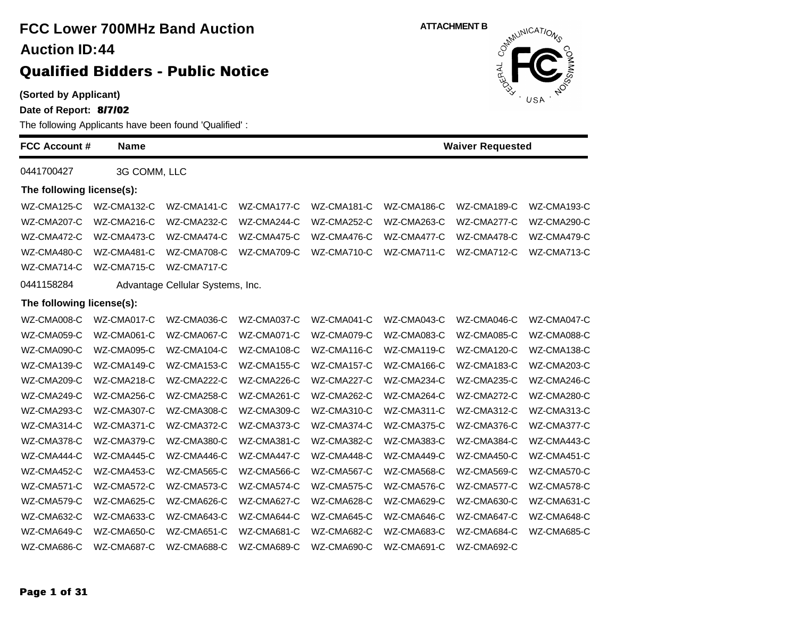| (Sorted by Applicant)<br>Date of Report: 8/7/02 |              | The following Applicants have been found 'Qualified': |             |             | <b>AND THAT USA</b> | Novel                   |             |
|-------------------------------------------------|--------------|-------------------------------------------------------|-------------|-------------|---------------------|-------------------------|-------------|
| <b>FCC Account #</b>                            | <b>Name</b>  |                                                       |             |             |                     | <b>Waiver Requested</b> |             |
| 0441700427                                      | 3G COMM, LLC |                                                       |             |             |                     |                         |             |
| The following license(s):                       |              |                                                       |             |             |                     |                         |             |
| WZ-CMA125-C                                     | WZ-CMA132-C  | WZ-CMA141-C                                           | WZ-CMA177-C | WZ-CMA181-C | WZ-CMA186-C         | WZ-CMA189-C             | WZ-CMA193-C |
| WZ-CMA207-C                                     | WZ-CMA216-C  | WZ-CMA232-C                                           | WZ-CMA244-C | WZ-CMA252-C | WZ-CMA263-C         | WZ-CMA277-C             | WZ-CMA290-C |
| WZ-CMA472-C                                     | WZ-CMA473-C  | WZ-CMA474-C                                           | WZ-CMA475-C | WZ-CMA476-C | WZ-CMA477-C         | WZ-CMA478-C             | WZ-CMA479-C |
| WZ-CMA480-C                                     | WZ-CMA481-C  | WZ-CMA708-C                                           | WZ-CMA709-C | WZ-CMA710-C | WZ-CMA711-C         | WZ-CMA712-C             | WZ-CMA713-C |
| WZ-CMA714-C                                     | WZ-CMA715-C  | WZ-CMA717-C                                           |             |             |                     |                         |             |
| 0441158284                                      |              | Advantage Cellular Systems, Inc.                      |             |             |                     |                         |             |
| The following license(s):                       |              |                                                       |             |             |                     |                         |             |
| WZ-CMA008-C                                     | WZ-CMA017-C  | WZ-CMA036-C                                           | WZ-CMA037-C | WZ-CMA041-C | WZ-CMA043-C         | WZ-CMA046-C             | WZ-CMA047-C |
| WZ-CMA059-C                                     | WZ-CMA061-C  | WZ-CMA067-C                                           | WZ-CMA071-C | WZ-CMA079-C | WZ-CMA083-C         | WZ-CMA085-C             | WZ-CMA088-C |
| WZ-CMA090-C                                     | WZ-CMA095-C  | WZ-CMA104-C                                           | WZ-CMA108-C | WZ-CMA116-C | WZ-CMA119-C         | WZ-CMA120-C             | WZ-CMA138-C |
| WZ-CMA139-C                                     | WZ-CMA149-C  | WZ-CMA153-C                                           | WZ-CMA155-C | WZ-CMA157-C | WZ-CMA166-C         | WZ-CMA183-C             | WZ-CMA203-C |
| WZ-CMA209-C                                     | WZ-CMA218-C  | WZ-CMA222-C                                           | WZ-CMA226-C | WZ-CMA227-C | WZ-CMA234-C         | WZ-CMA235-C             | WZ-CMA246-C |
| WZ-CMA249-C                                     | WZ-CMA256-C  | WZ-CMA258-C                                           | WZ-CMA261-C | WZ-CMA262-C | WZ-CMA264-C         | WZ-CMA272-C             | WZ-CMA280-C |
| WZ-CMA293-C                                     | WZ-CMA307-C  | WZ-CMA308-C                                           | WZ-CMA309-C | WZ-CMA310-C | WZ-CMA311-C         | WZ-CMA312-C             | WZ-CMA313-C |
| WZ-CMA314-C                                     | WZ-CMA371-C  | WZ-CMA372-C                                           | WZ-CMA373-C | WZ-CMA374-C | WZ-CMA375-C         | WZ-CMA376-C             | WZ-CMA377-C |
| WZ-CMA378-C                                     | WZ-CMA379-C  | WZ-CMA380-C                                           | WZ-CMA381-C | WZ-CMA382-C | WZ-CMA383-C         | WZ-CMA384-C             | WZ-CMA443-C |
| WZ-CMA444-C                                     | WZ-CMA445-C  | WZ-CMA446-C                                           | WZ-CMA447-C | WZ-CMA448-C | WZ-CMA449-C         | WZ-CMA450-C             | WZ-CMA451-C |
| WZ-CMA452-C                                     | WZ-CMA453-C  | WZ-CMA565-C                                           | WZ-CMA566-C | WZ-CMA567-C | WZ-CMA568-C         | WZ-CMA569-C             | WZ-CMA570-C |
| WZ-CMA571-C                                     | WZ-CMA572-C  | WZ-CMA573-C                                           | WZ-CMA574-C | WZ-CMA575-C | WZ-CMA576-C         | WZ-CMA577-C             | WZ-CMA578-C |
| WZ-CMA579-C                                     | WZ-CMA625-C  | WZ-CMA626-C                                           | WZ-CMA627-C | WZ-CMA628-C | WZ-CMA629-C         | WZ-CMA630-C             | WZ-CMA631-C |
| WZ-CMA632-C                                     | WZ-CMA633-C  | WZ-CMA643-C                                           | WZ-CMA644-C | WZ-CMA645-C | WZ-CMA646-C         | WZ-CMA647-C             | WZ-CMA648-C |
| WZ-CMA649-C                                     | WZ-CMA650-C  | WZ-CMA651-C                                           | WZ-CMA681-C | WZ-CMA682-C | WZ-CMA683-C         | WZ-CMA684-C             | WZ-CMA685-C |

WZ-CMA686-C WZ-CMA687-C WZ-CMA688-C WZ-CMA689-C WZ-CMA690-C WZ-CMA691-C WZ-CMA692-C

**ATTACHMENT B**<br>  $\int_{0}^{\frac{1}{2}M^{10}}$ 

 $\mathbb{R}^2$ 

OMMO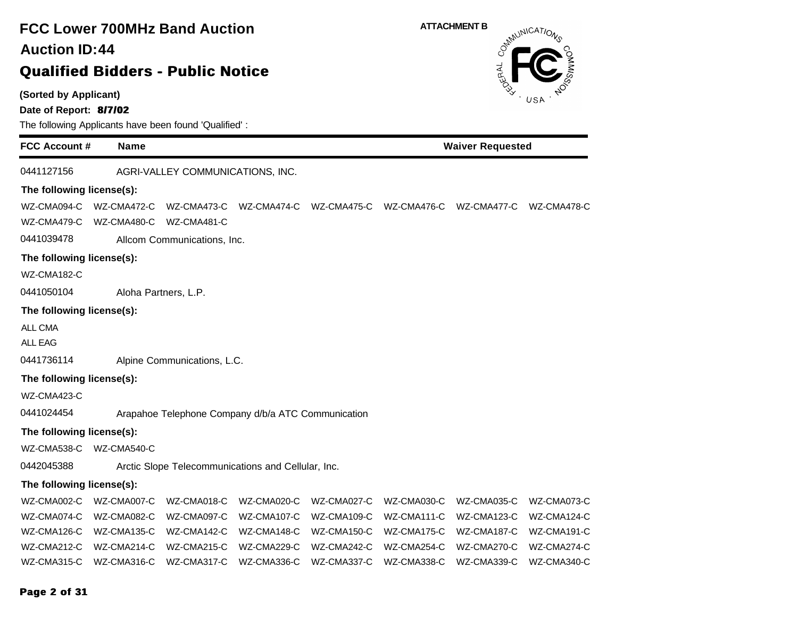# **FCC Lower 700MHz Band Auction 44 Auction ID:**

# **Qualified Bidders - Public Notice**

**(Sorted by Applicant)**

**Date of Report: 8/7/02**

The following Applicants have been found 'Qualified' :

| <b>FCC Account #</b>       | <b>Name</b>                |                                                    |                         | <b>Waiver Requested</b> |             |                         |             |  |
|----------------------------|----------------------------|----------------------------------------------------|-------------------------|-------------------------|-------------|-------------------------|-------------|--|
| 0441127156                 |                            | AGRI-VALLEY COMMUNICATIONS, INC.                   |                         |                         |             |                         |             |  |
| The following license(s):  |                            |                                                    |                         |                         |             |                         |             |  |
| WZ-CMA094-C<br>WZ-CMA479-C | WZ-CMA472-C<br>WZ-CMA480-C | WZ-CMA481-C                                        | WZ-CMA473-C WZ-CMA474-C | WZ-CMA475-C             |             | WZ-CMA476-C WZ-CMA477-C | WZ-CMA478-C |  |
| 0441039478                 |                            |                                                    |                         |                         |             |                         |             |  |
|                            |                            | Allcom Communications, Inc.                        |                         |                         |             |                         |             |  |
| The following license(s):  |                            |                                                    |                         |                         |             |                         |             |  |
| WZ-CMA182-C                |                            |                                                    |                         |                         |             |                         |             |  |
| 0441050104                 |                            | Aloha Partners, L.P.                               |                         |                         |             |                         |             |  |
| The following license(s):  |                            |                                                    |                         |                         |             |                         |             |  |
| ALL CMA                    |                            |                                                    |                         |                         |             |                         |             |  |
| <b>ALL EAG</b>             |                            |                                                    |                         |                         |             |                         |             |  |
| 0441736114                 |                            | Alpine Communications, L.C.                        |                         |                         |             |                         |             |  |
| The following license(s):  |                            |                                                    |                         |                         |             |                         |             |  |
| WZ-CMA423-C                |                            |                                                    |                         |                         |             |                         |             |  |
| 0441024454                 |                            | Arapahoe Telephone Company d/b/a ATC Communication |                         |                         |             |                         |             |  |
| The following license(s):  |                            |                                                    |                         |                         |             |                         |             |  |
| WZ-CMA538-C                | WZ-CMA540-C                |                                                    |                         |                         |             |                         |             |  |
| 0442045388                 |                            | Arctic Slope Telecommunications and Cellular, Inc. |                         |                         |             |                         |             |  |
| The following license(s):  |                            |                                                    |                         |                         |             |                         |             |  |
| WZ-CMA002-C                | WZ-CMA007-C                | WZ-CMA018-C                                        | WZ-CMA020-C             | WZ-CMA027-C             | WZ-CMA030-C | WZ-CMA035-C             | WZ-CMA073-C |  |
| WZ-CMA074-C                | WZ-CMA082-C                | WZ-CMA097-C                                        | WZ-CMA107-C             | WZ-CMA109-C             | WZ-CMA111-C | WZ-CMA123-C             | WZ-CMA124-C |  |
| WZ-CMA126-C                | WZ-CMA135-C                | WZ-CMA142-C                                        | WZ-CMA148-C             | WZ-CMA150-C             | WZ-CMA175-C | WZ-CMA187-C             | WZ-CMA191-C |  |
| WZ-CMA212-C                | WZ-CMA214-C                | WZ-CMA215-C                                        | WZ-CMA229-C             | WZ-CMA242-C             | WZ-CMA254-C | WZ-CMA270-C             | WZ-CMA274-C |  |
| WZ-CMA315-C                | WZ-CMA316-C                | WZ-CMA317-C                                        | WZ-CMA336-C             | WZ-CMA337-C             | WZ-CMA338-C | WZ-CMA339-C             | WZ-CMA340-C |  |

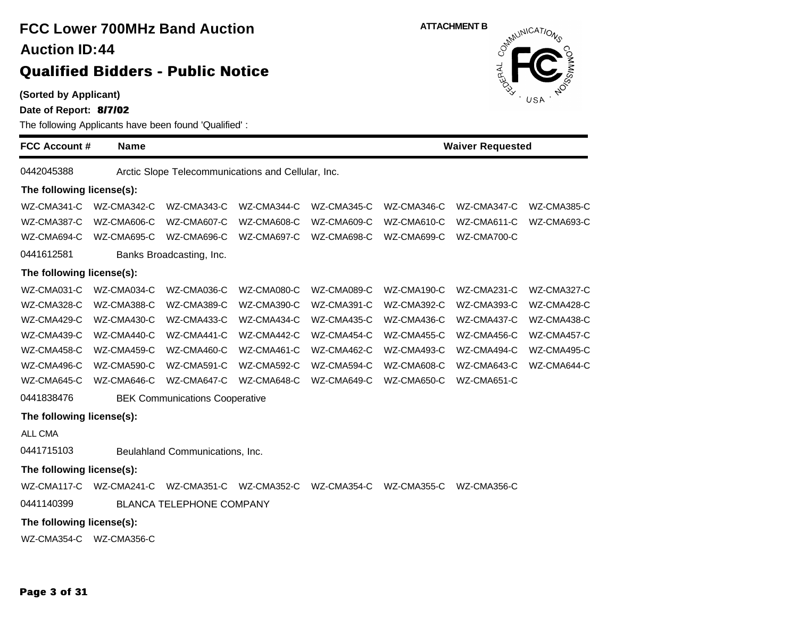**(Sorted by Applicant)**

**Date of Report: 8/7/02**

The following Applicants have been found 'Qualified' :

**FCC Account # Name Waiver Requested** 0442045388 Arctic Slope Telecommunications and Cellular, Inc. **The following license(s):** WZ-CMA341-C WZ-CMA342-C WZ-CMA343-C WZ-CMA344-C WZ-CMA345-C WZ-CMA346-C WZ-CMA347-C WZ-CMA385-C WZ-CMA387-C WZ-CMA606-C WZ-CMA607-C WZ-CMA608-C WZ-CMA609-C WZ-CMA610-C WZ-CMA611-C WZ-CMA693-C WZ-CMA694-C WZ-CMA695-C WZ-CMA696-C WZ-CMA697-C WZ-CMA698-C WZ-CMA699-C WZ-CMA700-C 0441612581 Banks Broadcasting, Inc. **The following license(s):** WZ-CMA031-C WZ-CMA034-C WZ-CMA036-C WZ-CMA080-C WZ-CMA089-C WZ-CMA190-C WZ-CMA231-C WZ-CMA327-C WZ-CMA328-C WZ-CMA388-C WZ-CMA389-C WZ-CMA390-C WZ-CMA391-C WZ-CMA392-C WZ-CMA393-C WZ-CMA428-C WZ-CMA429-C WZ-CMA430-C WZ-CMA433-C WZ-CMA434-C WZ-CMA435-C WZ-CMA436-C WZ-CMA437-C WZ-CMA438-C WZ-CMA439-C WZ-CMA440-C WZ-CMA441-C WZ-CMA442-C WZ-CMA454-C WZ-CMA455-C WZ-CMA456-C WZ-CMA457-C WZ-CMA458-C WZ-CMA459-C WZ-CMA460-C WZ-CMA461-C WZ-CMA462-C WZ-CMA493-C WZ-CMA494-C WZ-CMA495-C WZ-CMA496-C WZ-CMA590-C WZ-CMA591-C WZ-CMA592-C WZ-CMA594-C WZ-CMA608-C WZ-CMA643-C WZ-CMA644-C WZ-CMA645-C WZ-CMA646-C WZ-CMA647-C WZ-CMA648-C WZ-CMA649-C WZ-CMA650-C WZ-CMA651-C 0441838476 BEK Communications Cooperative **The following license(s):** ALL CMA 0441715103 Beulahland Communications, Inc. **The following license(s):** WZ-CMA117-C WZ-CMA241-C WZ-CMA351-C WZ-CMA352-C WZ-CMA354-C WZ-CMA355-C WZ-CMA356-C 0441140399 BLANCA TELEPHONE COMPANY **The following license(s):** WZ-CMA354-C WZ-CMA356-C

**ATTACHMENT B**<br>  $\delta^{m}$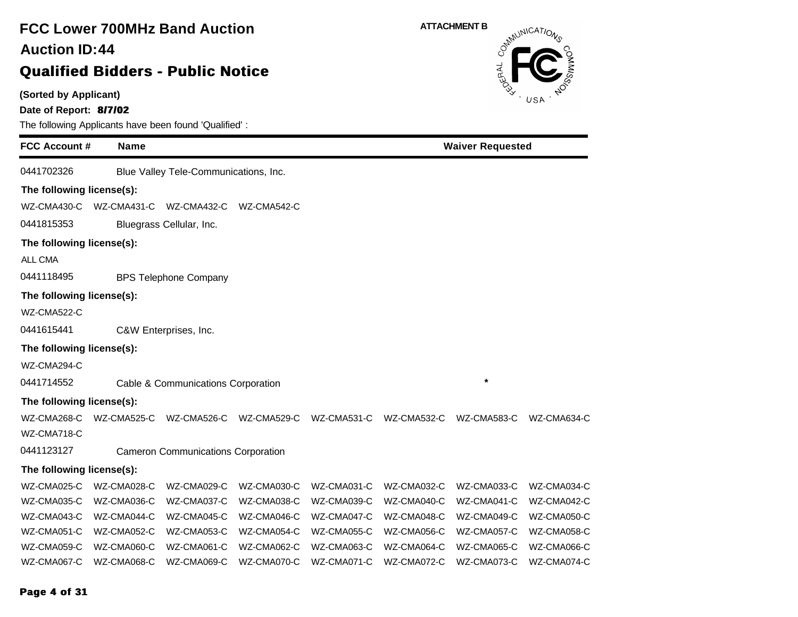### **(Sorted by Applicant) Date of Report: 8/7/02** The following Applicants have been found 'Qualified' : **FCC Account # Name FCC Lower 700MHz Band Auction Qualified Bidders - Public Notice 44 Auction ID: ATTACHMENT B**<br>  $\delta^{mN}$ **Waiver Requested** 0441702326 Blue Valley Tele-Communications, Inc. **The following license(s):** WZ-CMA430-C WZ-CMA431-C WZ-CMA432-C WZ-CMA542-C 0441815353 Bluegrass Cellular, Inc. **The following license(s):** ALL CMA 0441118495 BPS Telephone Company **The following license(s):** WZ-CMA522-C 0441615441 C&W Enterprises, Inc. **The following license(s):** WZ-CMA294-C 0441714552 Cable & Communications Corporation **\* The following license(s):** WZ-CMA268-C WZ-CMA525-C WZ-CMA526-C WZ-CMA529-C WZ-CMA531-C WZ-CMA532-C WZ-CMA583-C WZ-CMA634-C WZ-CMA718-C 0441123127 Cameron Communications Corporation **The following license(s):** WZ-CMA025-C WZ-CMA028-C WZ-CMA029-C WZ-CMA030-C WZ-CMA031-C WZ-CMA032-C WZ-CMA033-C WZ-CMA034-C WZ-CMA035-C WZ-CMA036-C WZ-CMA037-C WZ-CMA038-C WZ-CMA039-C WZ-CMA040-C WZ-CMA041-C WZ-CMA042-C WZ-CMA043-C WZ-CMA044-C WZ-CMA045-C WZ-CMA046-C WZ-CMA047-C WZ-CMA048-C WZ-CMA049-C WZ-CMA050-C WZ-CMA051-C WZ-CMA052-C WZ-CMA053-C WZ-CMA054-C WZ-CMA055-C WZ-CMA056-C WZ-CMA057-C WZ-CMA058-C WZ-CMA059-C WZ-CMA060-C WZ-CMA061-C WZ-CMA062-C WZ-CMA063-C WZ-CMA064-C WZ-CMA065-C WZ-CMA066-C WZ-CMA067-C WZ-CMA068-C WZ-CMA069-C WZ-CMA070-C WZ-CMA071-C WZ-CMA072-C WZ-CMA073-C WZ-CMA074-C

#### **Page 4 of 31**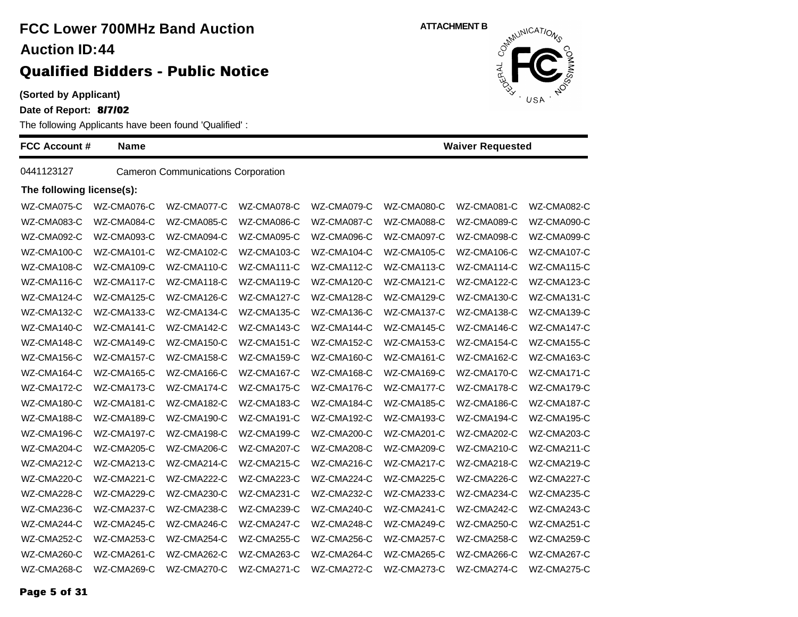**(Sorted by Applicant)**

**Date of Report: 8/7/02**

The following Applicants have been found 'Qualified' :

| <b>FCC Account #</b>      | <b>Name</b> |                                           |             |             |             | <b>Waiver Requested</b> |             |
|---------------------------|-------------|-------------------------------------------|-------------|-------------|-------------|-------------------------|-------------|
| 0441123127                |             | <b>Cameron Communications Corporation</b> |             |             |             |                         |             |
| The following license(s): |             |                                           |             |             |             |                         |             |
| WZ-CMA075-C               | WZ-CMA076-C | WZ-CMA077-C                               | WZ-CMA078-C | WZ-CMA079-C | WZ-CMA080-C | WZ-CMA081-C             | WZ-CMA082-C |
| WZ-CMA083-C               | WZ-CMA084-C | WZ-CMA085-C                               | WZ-CMA086-C | WZ-CMA087-C | WZ-CMA088-C | WZ-CMA089-C             | WZ-CMA090-C |
| WZ-CMA092-C               | WZ-CMA093-C | WZ-CMA094-C                               | WZ-CMA095-C | WZ-CMA096-C | WZ-CMA097-C | WZ-CMA098-C             | WZ-CMA099-C |
| WZ-CMA100-C               | WZ-CMA101-C | WZ-CMA102-C                               | WZ-CMA103-C | WZ-CMA104-C | WZ-CMA105-C | WZ-CMA106-C             | WZ-CMA107-C |
| WZ-CMA108-C               | WZ-CMA109-C | WZ-CMA110-C                               | WZ-CMA111-C | WZ-CMA112-C | WZ-CMA113-C | WZ-CMA114-C             | WZ-CMA115-C |
| WZ-CMA116-C               | WZ-CMA117-C | WZ-CMA118-C                               | WZ-CMA119-C | WZ-CMA120-C | WZ-CMA121-C | WZ-CMA122-C             | WZ-CMA123-C |
| WZ-CMA124-C               | WZ-CMA125-C | WZ-CMA126-C                               | WZ-CMA127-C | WZ-CMA128-C | WZ-CMA129-C | WZ-CMA130-C             | WZ-CMA131-C |
| WZ-CMA132-C               | WZ-CMA133-C | WZ-CMA134-C                               | WZ-CMA135-C | WZ-CMA136-C | WZ-CMA137-C | WZ-CMA138-C             | WZ-CMA139-C |
| WZ-CMA140-C               | WZ-CMA141-C | WZ-CMA142-C                               | WZ-CMA143-C | WZ-CMA144-C | WZ-CMA145-C | WZ-CMA146-C             | WZ-CMA147-C |
| WZ-CMA148-C               | WZ-CMA149-C | WZ-CMA150-C                               | WZ-CMA151-C | WZ-CMA152-C | WZ-CMA153-C | WZ-CMA154-C             | WZ-CMA155-C |
| WZ-CMA156-C               | WZ-CMA157-C | WZ-CMA158-C                               | WZ-CMA159-C | WZ-CMA160-C | WZ-CMA161-C | WZ-CMA162-C             | WZ-CMA163-C |
| WZ-CMA164-C               | WZ-CMA165-C | WZ-CMA166-C                               | WZ-CMA167-C | WZ-CMA168-C | WZ-CMA169-C | WZ-CMA170-C             | WZ-CMA171-C |
| WZ-CMA172-C               | WZ-CMA173-C | WZ-CMA174-C                               | WZ-CMA175-C | WZ-CMA176-C | WZ-CMA177-C | WZ-CMA178-C             | WZ-CMA179-C |
| WZ-CMA180-C               | WZ-CMA181-C | WZ-CMA182-C                               | WZ-CMA183-C | WZ-CMA184-C | WZ-CMA185-C | WZ-CMA186-C             | WZ-CMA187-C |
| WZ-CMA188-C               | WZ-CMA189-C | WZ-CMA190-C                               | WZ-CMA191-C | WZ-CMA192-C | WZ-CMA193-C | WZ-CMA194-C             | WZ-CMA195-C |
| WZ-CMA196-C               | WZ-CMA197-C | WZ-CMA198-C                               | WZ-CMA199-C | WZ-CMA200-C | WZ-CMA201-C | WZ-CMA202-C             | WZ-CMA203-C |
| WZ-CMA204-C               | WZ-CMA205-C | WZ-CMA206-C                               | WZ-CMA207-C | WZ-CMA208-C | WZ-CMA209-C | WZ-CMA210-C             | WZ-CMA211-C |
| WZ-CMA212-C               | WZ-CMA213-C | WZ-CMA214-C                               | WZ-CMA215-C | WZ-CMA216-C | WZ-CMA217-C | WZ-CMA218-C             | WZ-CMA219-C |
| WZ-CMA220-C               | WZ-CMA221-C | WZ-CMA222-C                               | WZ-CMA223-C | WZ-CMA224-C | WZ-CMA225-C | WZ-CMA226-C             | WZ-CMA227-C |
| WZ-CMA228-C               | WZ-CMA229-C | WZ-CMA230-C                               | WZ-CMA231-C | WZ-CMA232-C | WZ-CMA233-C | WZ-CMA234-C             | WZ-CMA235-C |
| WZ-CMA236-C               | WZ-CMA237-C | WZ-CMA238-C                               | WZ-CMA239-C | WZ-CMA240-C | WZ-CMA241-C | WZ-CMA242-C             | WZ-CMA243-C |
| WZ-CMA244-C               | WZ-CMA245-C | WZ-CMA246-C                               | WZ-CMA247-C | WZ-CMA248-C | WZ-CMA249-C | WZ-CMA250-C             | WZ-CMA251-C |
| WZ-CMA252-C               | WZ-CMA253-C | WZ-CMA254-C                               | WZ-CMA255-C | WZ-CMA256-C | WZ-CMA257-C | WZ-CMA258-C             | WZ-CMA259-C |
| WZ-CMA260-C               | WZ-CMA261-C | WZ-CMA262-C                               | WZ-CMA263-C | WZ-CMA264-C | WZ-CMA265-C | WZ-CMA266-C             | WZ-CMA267-C |
| WZ-CMA268-C               | WZ-CMA269-C | WZ-CMA270-C                               | WZ-CMA271-C | WZ-CMA272-C | WZ-CMA273-C | WZ-CMA274-C             | WZ-CMA275-C |

**ATTACHMENT B** JERAL USA

**Page 5 of 31**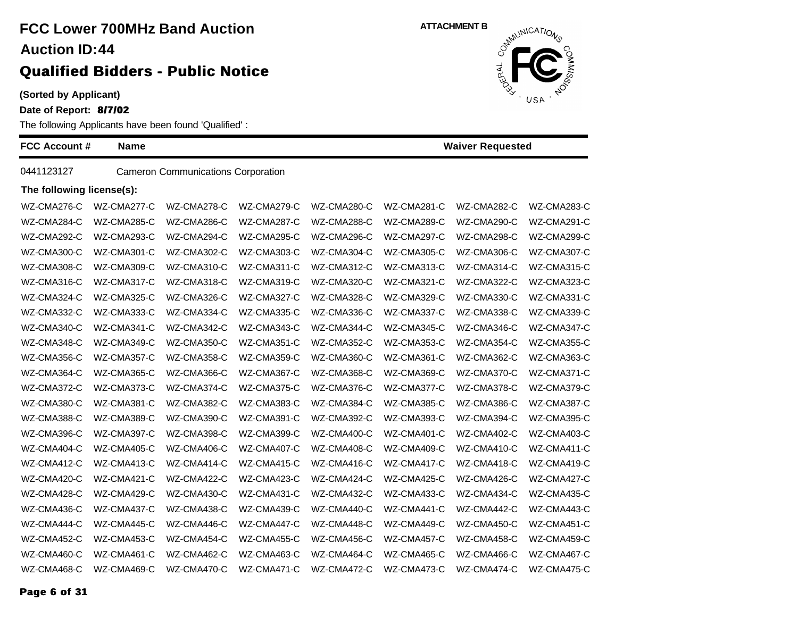**(Sorted by Applicant)**

**Date of Report: 8/7/02**

The following Applicants have been found 'Qualified' :

| <b>FCC Account #</b>      | <b>Name</b> |                                           |             |             |             | <b>Waiver Requested</b> |             |
|---------------------------|-------------|-------------------------------------------|-------------|-------------|-------------|-------------------------|-------------|
| 0441123127                |             | <b>Cameron Communications Corporation</b> |             |             |             |                         |             |
| The following license(s): |             |                                           |             |             |             |                         |             |
| WZ-CMA276-C               | WZ-CMA277-C | WZ-CMA278-C                               | WZ-CMA279-C | WZ-CMA280-C | WZ-CMA281-C | WZ-CMA282-C             | WZ-CMA283-C |
| WZ-CMA284-C               | WZ-CMA285-C | WZ-CMA286-C                               | WZ-CMA287-C | WZ-CMA288-C | WZ-CMA289-C | WZ-CMA290-C             | WZ-CMA291-C |
| WZ-CMA292-C               | WZ-CMA293-C | WZ-CMA294-C                               | WZ-CMA295-C | WZ-CMA296-C | WZ-CMA297-C | WZ-CMA298-C             | WZ-CMA299-C |
| WZ-CMA300-C               | WZ-CMA301-C | WZ-CMA302-C                               | WZ-CMA303-C | WZ-CMA304-C | WZ-CMA305-C | WZ-CMA306-C             | WZ-CMA307-C |
| WZ-CMA308-C               | WZ-CMA309-C | WZ-CMA310-C                               | WZ-CMA311-C | WZ-CMA312-C | WZ-CMA313-C | WZ-CMA314-C             | WZ-CMA315-C |
| WZ-CMA316-C               | WZ-CMA317-C | WZ-CMA318-C                               | WZ-CMA319-C | WZ-CMA320-C | WZ-CMA321-C | WZ-CMA322-C             | WZ-CMA323-C |
| WZ-CMA324-C               | WZ-CMA325-C | WZ-CMA326-C                               | WZ-CMA327-C | WZ-CMA328-C | WZ-CMA329-C | WZ-CMA330-C             | WZ-CMA331-C |
| WZ-CMA332-C               | WZ-CMA333-C | WZ-CMA334-C                               | WZ-CMA335-C | WZ-CMA336-C | WZ-CMA337-C | WZ-CMA338-C             | WZ-CMA339-C |
| WZ-CMA340-C               | WZ-CMA341-C | WZ-CMA342-C                               | WZ-CMA343-C | WZ-CMA344-C | WZ-CMA345-C | WZ-CMA346-C             | WZ-CMA347-C |
| WZ-CMA348-C               | WZ-CMA349-C | WZ-CMA350-C                               | WZ-CMA351-C | WZ-CMA352-C | WZ-CMA353-C | WZ-CMA354-C             | WZ-CMA355-C |
| WZ-CMA356-C               | WZ-CMA357-C | WZ-CMA358-C                               | WZ-CMA359-C | WZ-CMA360-C | WZ-CMA361-C | WZ-CMA362-C             | WZ-CMA363-C |
| WZ-CMA364-C               | WZ-CMA365-C | WZ-CMA366-C                               | WZ-CMA367-C | WZ-CMA368-C | WZ-CMA369-C | WZ-CMA370-C             | WZ-CMA371-C |
| WZ-CMA372-C               | WZ-CMA373-C | WZ-CMA374-C                               | WZ-CMA375-C | WZ-CMA376-C | WZ-CMA377-C | WZ-CMA378-C             | WZ-CMA379-C |
| WZ-CMA380-C               | WZ-CMA381-C | WZ-CMA382-C                               | WZ-CMA383-C | WZ-CMA384-C | WZ-CMA385-C | WZ-CMA386-C             | WZ-CMA387-C |
| WZ-CMA388-C               | WZ-CMA389-C | WZ-CMA390-C                               | WZ-CMA391-C | WZ-CMA392-C | WZ-CMA393-C | WZ-CMA394-C             | WZ-CMA395-C |
| WZ-CMA396-C               | WZ-CMA397-C | WZ-CMA398-C                               | WZ-CMA399-C | WZ-CMA400-C | WZ-CMA401-C | WZ-CMA402-C             | WZ-CMA403-C |
| WZ-CMA404-C               | WZ-CMA405-C | WZ-CMA406-C                               | WZ-CMA407-C | WZ-CMA408-C | WZ-CMA409-C | WZ-CMA410-C             | WZ-CMA411-C |
| WZ-CMA412-C               | WZ-CMA413-C | WZ-CMA414-C                               | WZ-CMA415-C | WZ-CMA416-C | WZ-CMA417-C | WZ-CMA418-C             | WZ-CMA419-C |
| WZ-CMA420-C               | WZ-CMA421-C | WZ-CMA422-C                               | WZ-CMA423-C | WZ-CMA424-C | WZ-CMA425-C | WZ-CMA426-C             | WZ-CMA427-C |
| WZ-CMA428-C               | WZ-CMA429-C | WZ-CMA430-C                               | WZ-CMA431-C | WZ-CMA432-C | WZ-CMA433-C | WZ-CMA434-C             | WZ-CMA435-C |
| WZ-CMA436-C               | WZ-CMA437-C | WZ-CMA438-C                               | WZ-CMA439-C | WZ-CMA440-C | WZ-CMA441-C | WZ-CMA442-C             | WZ-CMA443-C |
| WZ-CMA444-C               | WZ-CMA445-C | WZ-CMA446-C                               | WZ-CMA447-C | WZ-CMA448-C | WZ-CMA449-C | WZ-CMA450-C             | WZ-CMA451-C |
| WZ-CMA452-C               | WZ-CMA453-C | WZ-CMA454-C                               | WZ-CMA455-C | WZ-CMA456-C | WZ-CMA457-C | WZ-CMA458-C             | WZ-CMA459-C |
| WZ-CMA460-C               | WZ-CMA461-C | WZ-CMA462-C                               | WZ-CMA463-C | WZ-CMA464-C | WZ-CMA465-C | WZ-CMA466-C             | WZ-CMA467-C |
| WZ-CMA468-C               | WZ-CMA469-C | WZ-CMA470-C                               | WZ-CMA471-C | WZ-CMA472-C | WZ-CMA473-C | WZ-CMA474-C             | WZ-CMA475-C |

**ATTACHMENT B** JERAL USA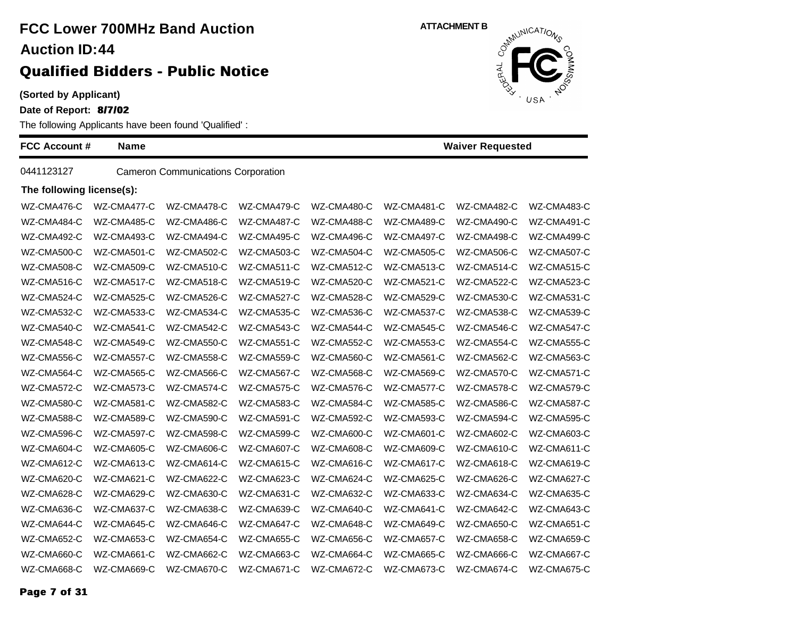**(Sorted by Applicant)**

**Date of Report: 8/7/02**

The following Applicants have been found 'Qualified' :

| FCC Account #             | <b>Name</b> |                                           |             | <b>Waiver Requested</b> |             |             |             |  |
|---------------------------|-------------|-------------------------------------------|-------------|-------------------------|-------------|-------------|-------------|--|
| 0441123127                |             | <b>Cameron Communications Corporation</b> |             |                         |             |             |             |  |
| The following license(s): |             |                                           |             |                         |             |             |             |  |
| WZ-CMA476-C               | WZ-CMA477-C | WZ-CMA478-C                               | WZ-CMA479-C | WZ-CMA480-C             | WZ-CMA481-C | WZ-CMA482-C | WZ-CMA483-C |  |
| WZ-CMA484-C               | WZ-CMA485-C | WZ-CMA486-C                               | WZ-CMA487-C | WZ-CMA488-C             | WZ-CMA489-C | WZ-CMA490-C | WZ-CMA491-C |  |
| WZ-CMA492-C               | WZ-CMA493-C | WZ-CMA494-C                               | WZ-CMA495-C | WZ-CMA496-C             | WZ-CMA497-C | WZ-CMA498-C | WZ-CMA499-C |  |
| WZ-CMA500-C               | WZ-CMA501-C | WZ-CMA502-C                               | WZ-CMA503-C | WZ-CMA504-C             | WZ-CMA505-C | WZ-CMA506-C | WZ-CMA507-C |  |
| WZ-CMA508-C               | WZ-CMA509-C | WZ-CMA510-C                               | WZ-CMA511-C | WZ-CMA512-C             | WZ-CMA513-C | WZ-CMA514-C | WZ-CMA515-C |  |
| WZ-CMA516-C               | WZ-CMA517-C | WZ-CMA518-C                               | WZ-CMA519-C | WZ-CMA520-C             | WZ-CMA521-C | WZ-CMA522-C | WZ-CMA523-C |  |
| WZ-CMA524-C               | WZ-CMA525-C | WZ-CMA526-C                               | WZ-CMA527-C | WZ-CMA528-C             | WZ-CMA529-C | WZ-CMA530-C | WZ-CMA531-C |  |
| WZ-CMA532-C               | WZ-CMA533-C | WZ-CMA534-C                               | WZ-CMA535-C | WZ-CMA536-C             | WZ-CMA537-C | WZ-CMA538-C | WZ-CMA539-C |  |
| WZ-CMA540-C               | WZ-CMA541-C | WZ-CMA542-C                               | WZ-CMA543-C | WZ-CMA544-C             | WZ-CMA545-C | WZ-CMA546-C | WZ-CMA547-C |  |
| WZ-CMA548-C               | WZ-CMA549-C | WZ-CMA550-C                               | WZ-CMA551-C | WZ-CMA552-C             | WZ-CMA553-C | WZ-CMA554-C | WZ-CMA555-C |  |
| WZ-CMA556-C               | WZ-CMA557-C | WZ-CMA558-C                               | WZ-CMA559-C | WZ-CMA560-C             | WZ-CMA561-C | WZ-CMA562-C | WZ-CMA563-C |  |
| WZ-CMA564-C               | WZ-CMA565-C | WZ-CMA566-C                               | WZ-CMA567-C | WZ-CMA568-C             | WZ-CMA569-C | WZ-CMA570-C | WZ-CMA571-C |  |
| WZ-CMA572-C               | WZ-CMA573-C | WZ-CMA574-C                               | WZ-CMA575-C | WZ-CMA576-C             | WZ-CMA577-C | WZ-CMA578-C | WZ-CMA579-C |  |
| WZ-CMA580-C               | WZ-CMA581-C | WZ-CMA582-C                               | WZ-CMA583-C | WZ-CMA584-C             | WZ-CMA585-C | WZ-CMA586-C | WZ-CMA587-C |  |
| WZ-CMA588-C               | WZ-CMA589-C | WZ-CMA590-C                               | WZ-CMA591-C | WZ-CMA592-C             | WZ-CMA593-C | WZ-CMA594-C | WZ-CMA595-C |  |
| WZ-CMA596-C               | WZ-CMA597-C | WZ-CMA598-C                               | WZ-CMA599-C | WZ-CMA600-C             | WZ-CMA601-C | WZ-CMA602-C | WZ-CMA603-C |  |
| WZ-CMA604-C               | WZ-CMA605-C | WZ-CMA606-C                               | WZ-CMA607-C | WZ-CMA608-C             | WZ-CMA609-C | WZ-CMA610-C | WZ-CMA611-C |  |
| WZ-CMA612-C               | WZ-CMA613-C | WZ-CMA614-C                               | WZ-CMA615-C | WZ-CMA616-C             | WZ-CMA617-C | WZ-CMA618-C | WZ-CMA619-C |  |
| WZ-CMA620-C               | WZ-CMA621-C | WZ-CMA622-C                               | WZ-CMA623-C | WZ-CMA624-C             | WZ-CMA625-C | WZ-CMA626-C | WZ-CMA627-C |  |
| WZ-CMA628-C               | WZ-CMA629-C | WZ-CMA630-C                               | WZ-CMA631-C | WZ-CMA632-C             | WZ-CMA633-C | WZ-CMA634-C | WZ-CMA635-C |  |
| WZ-CMA636-C               | WZ-CMA637-C | WZ-CMA638-C                               | WZ-CMA639-C | WZ-CMA640-C             | WZ-CMA641-C | WZ-CMA642-C | WZ-CMA643-C |  |
| WZ-CMA644-C               | WZ-CMA645-C | WZ-CMA646-C                               | WZ-CMA647-C | WZ-CMA648-C             | WZ-CMA649-C | WZ-CMA650-C | WZ-CMA651-C |  |
| WZ-CMA652-C               | WZ-CMA653-C | WZ-CMA654-C                               | WZ-CMA655-C | WZ-CMA656-C             | WZ-CMA657-C | WZ-CMA658-C | WZ-CMA659-C |  |
| WZ-CMA660-C               | WZ-CMA661-C | WZ-CMA662-C                               | WZ-CMA663-C | WZ-CMA664-C             | WZ-CMA665-C | WZ-CMA666-C | WZ-CMA667-C |  |
| WZ-CMA668-C               | WZ-CMA669-C | WZ-CMA670-C                               | WZ-CMA671-C | WZ-CMA672-C             | WZ-CMA673-C | WZ-CMA674-C | WZ-CMA675-C |  |

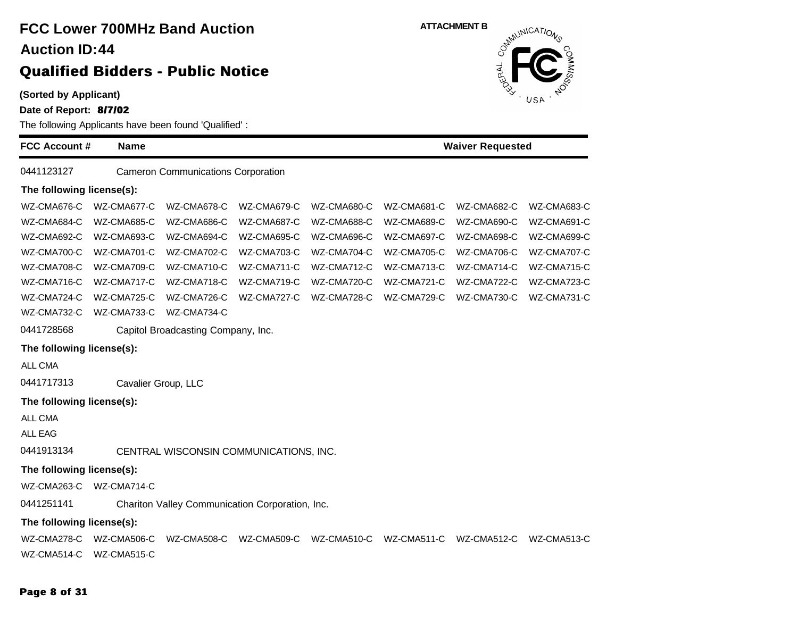### **(Sorted by Applicant) Date of Report: 8/7/02** The following Applicants have been found 'Qualified' : **FCC Account # Name FCC Lower 700MHz Band Auction Qualified Bidders - Public Notice 44 Auction ID: ATTACHMENT B**<br>  $\delta^{m}$ **Waiver Requested** 0441123127 Cameron Communications Corporation **The following license(s):** WZ-CMA676-C WZ-CMA677-C WZ-CMA678-C WZ-CMA679-C WZ-CMA680-C WZ-CMA681-C WZ-CMA682-C WZ-CMA683-C WZ-CMA684-C WZ-CMA685-C WZ-CMA686-C WZ-CMA687-C WZ-CMA688-C WZ-CMA689-C WZ-CMA690-C WZ-CMA691-C WZ-CMA692-C WZ-CMA693-C WZ-CMA694-C WZ-CMA695-C WZ-CMA696-C WZ-CMA697-C WZ-CMA698-C WZ-CMA699-C WZ-CMA700-C WZ-CMA701-C WZ-CMA702-C WZ-CMA703-C WZ-CMA704-C WZ-CMA705-C WZ-CMA706-C WZ-CMA707-C WZ-CMA708-C WZ-CMA709-C WZ-CMA710-C WZ-CMA711-C WZ-CMA712-C WZ-CMA713-C WZ-CMA714-C WZ-CMA715-C WZ-CMA716-C WZ-CMA717-C WZ-CMA718-C WZ-CMA719-C WZ-CMA720-C WZ-CMA721-C WZ-CMA722-C WZ-CMA723-C WZ-CMA724-C WZ-CMA725-C WZ-CMA726-C WZ-CMA727-C WZ-CMA728-C WZ-CMA729-C WZ-CMA730-C WZ-CMA731-C WZ-CMA732-C WZ-CMA733-C WZ-CMA734-C 0441728568 Capitol Broadcasting Company, Inc. **The following license(s):** ALL CMA 0441717313 Cavalier Group, LLC **The following license(s):** ALL CMA ALL EAG 0441913134 CENTRAL WISCONSIN COMMUNICATIONS, INC. **The following license(s):** WZ-CMA263-C WZ-CMA714-C 0441251141 Chariton Valley Communication Corporation, Inc. **The following license(s):** WZ-CMA278-C WZ-CMA506-C WZ-CMA508-C WZ-CMA509-C WZ-CMA510-C WZ-CMA511-C WZ-CMA512-C WZ-CMA513-C WZ-CMA514-C WZ-CMA515-C

#### **Page 8 of 31**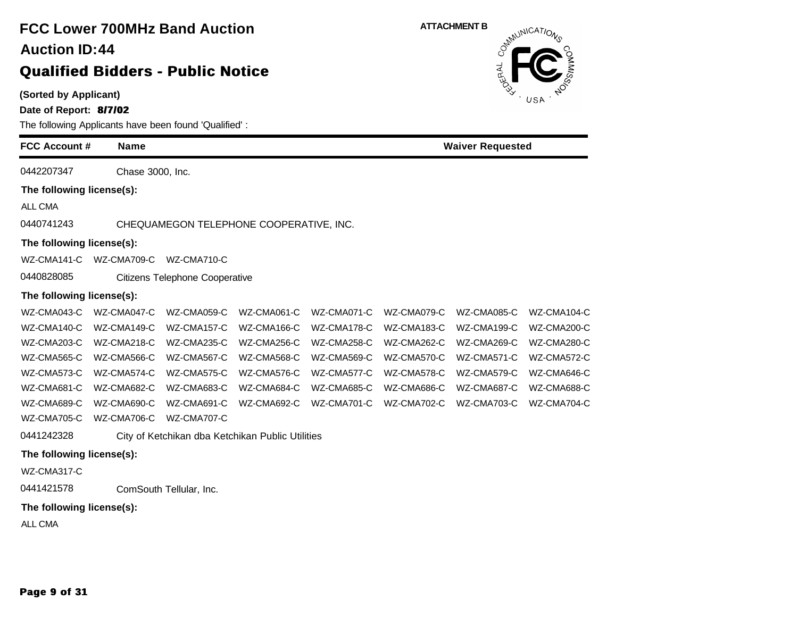### **(Sorted by Applicant) Date of Report: 8/7/02** The following Applicants have been found 'Qualified' : **FCC Account # Name FCC Lower 700MHz Band Auction Qualified Bidders - Public Notice 44 Auction ID: ATTACHMENT B**<br>  $\delta^{m}$ **Waiver Requested** 0442207347 Chase 3000, Inc. **The following license(s):** ALL CMA 0440741243 CHEQUAMEGON TELEPHONE COOPERATIVE, INC. **The following license(s):** WZ-CMA141-C WZ-CMA709-C WZ-CMA710-C 0440828085 Citizens Telephone Cooperative **The following license(s):** WZ-CMA043-C WZ-CMA047-C WZ-CMA059-C WZ-CMA061-C WZ-CMA071-C WZ-CMA079-C WZ-CMA085-C WZ-CMA104-C WZ-CMA140-C WZ-CMA149-C WZ-CMA157-C WZ-CMA166-C WZ-CMA178-C WZ-CMA183-C WZ-CMA199-C WZ-CMA200-C WZ-CMA203-C WZ-CMA218-C WZ-CMA235-C WZ-CMA256-C WZ-CMA258-C WZ-CMA262-C WZ-CMA269-C WZ-CMA280-C WZ-CMA565-C WZ-CMA566-C WZ-CMA567-C WZ-CMA568-C WZ-CMA569-C WZ-CMA570-C WZ-CMA571-C WZ-CMA572-C WZ-CMA573-C WZ-CMA574-C WZ-CMA575-C WZ-CMA576-C WZ-CMA577-C WZ-CMA578-C WZ-CMA579-C WZ-CMA646-C WZ-CMA681-C WZ-CMA682-C WZ-CMA683-C WZ-CMA684-C WZ-CMA685-C WZ-CMA686-C WZ-CMA687-C WZ-CMA688-C WZ-CMA689-C WZ-CMA690-C WZ-CMA691-C WZ-CMA692-C WZ-CMA701-C WZ-CMA702-C WZ-CMA703-C WZ-CMA704-C WZ-CMA705-C WZ-CMA706-C WZ-CMA707-C 0441242328 City of Ketchikan dba Ketchikan Public Utilities **The following license(s):** WZ-CMA317-C 0441421578 ComSouth Tellular, Inc. **The following license(s):** ALL CMA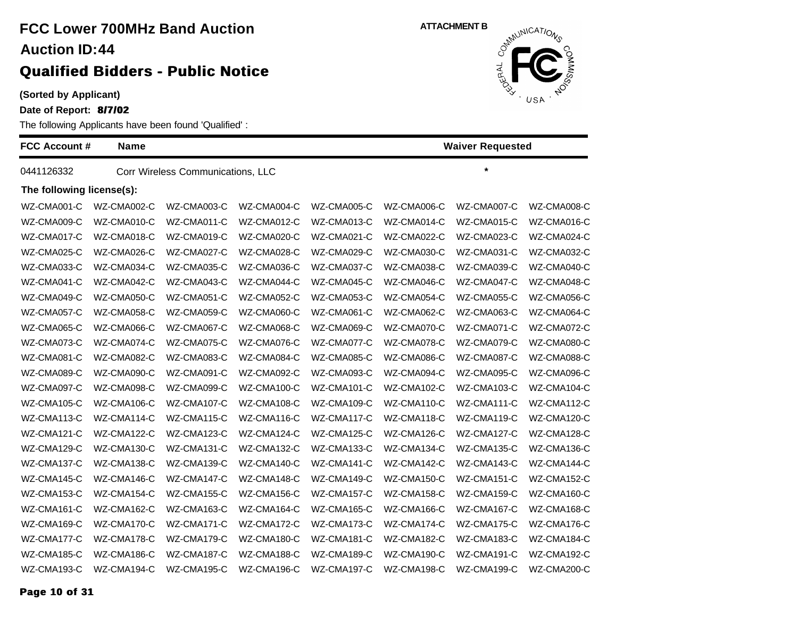### **(Sorted by Applicant)**

**Date of Report: 8/7/02**

The following Applicants have been found 'Qualified' :

| <b>FCC Account #</b>      | <b>Name</b> |                                   |             |             | <b>Waiver Requested</b> |             |             |
|---------------------------|-------------|-----------------------------------|-------------|-------------|-------------------------|-------------|-------------|
| 0441126332                |             | Corr Wireless Communications, LLC |             |             |                         | $\star$     |             |
| The following license(s): |             |                                   |             |             |                         |             |             |
| WZ-CMA001-C               | WZ-CMA002-C | WZ-CMA003-C                       | WZ-CMA004-C | WZ-CMA005-C | WZ-CMA006-C             | WZ-CMA007-C | WZ-CMA008-C |
| WZ-CMA009-C               | WZ-CMA010-C | WZ-CMA011-C                       | WZ-CMA012-C | WZ-CMA013-C | WZ-CMA014-C             | WZ-CMA015-C | WZ-CMA016-C |
| WZ-CMA017-C               | WZ-CMA018-C | WZ-CMA019-C                       | WZ-CMA020-C | WZ-CMA021-C | WZ-CMA022-C             | WZ-CMA023-C | WZ-CMA024-C |
| WZ-CMA025-C               | WZ-CMA026-C | WZ-CMA027-C                       | WZ-CMA028-C | WZ-CMA029-C | WZ-CMA030-C             | WZ-CMA031-C | WZ-CMA032-C |
| WZ-CMA033-C               | WZ-CMA034-C | WZ-CMA035-C                       | WZ-CMA036-C | WZ-CMA037-C | WZ-CMA038-C             | WZ-CMA039-C | WZ-CMA040-C |
| WZ-CMA041-C               | WZ-CMA042-C | WZ-CMA043-C                       | WZ-CMA044-C | WZ-CMA045-C | WZ-CMA046-C             | WZ-CMA047-C | WZ-CMA048-C |
| WZ-CMA049-C               | WZ-CMA050-C | WZ-CMA051-C                       | WZ-CMA052-C | WZ-CMA053-C | WZ-CMA054-C             | WZ-CMA055-C | WZ-CMA056-C |
| WZ-CMA057-C               | WZ-CMA058-C | WZ-CMA059-C                       | WZ-CMA060-C | WZ-CMA061-C | WZ-CMA062-C             | WZ-CMA063-C | WZ-CMA064-C |
| WZ-CMA065-C               | WZ-CMA066-C | WZ-CMA067-C                       | WZ-CMA068-C | WZ-CMA069-C | WZ-CMA070-C             | WZ-CMA071-C | WZ-CMA072-C |
| WZ-CMA073-C               | WZ-CMA074-C | WZ-CMA075-C                       | WZ-CMA076-C | WZ-CMA077-C | WZ-CMA078-C             | WZ-CMA079-C | WZ-CMA080-C |
| WZ-CMA081-C               | WZ-CMA082-C | WZ-CMA083-C                       | WZ-CMA084-C | WZ-CMA085-C | WZ-CMA086-C             | WZ-CMA087-C | WZ-CMA088-C |
| WZ-CMA089-C               | WZ-CMA090-C | WZ-CMA091-C                       | WZ-CMA092-C | WZ-CMA093-C | WZ-CMA094-C             | WZ-CMA095-C | WZ-CMA096-C |
| WZ-CMA097-C               | WZ-CMA098-C | WZ-CMA099-C                       | WZ-CMA100-C | WZ-CMA101-C | WZ-CMA102-C             | WZ-CMA103-C | WZ-CMA104-C |
| WZ-CMA105-C               | WZ-CMA106-C | WZ-CMA107-C                       | WZ-CMA108-C | WZ-CMA109-C | WZ-CMA110-C             | WZ-CMA111-C | WZ-CMA112-C |
| WZ-CMA113-C               | WZ-CMA114-C | WZ-CMA115-C                       | WZ-CMA116-C | WZ-CMA117-C | WZ-CMA118-C             | WZ-CMA119-C | WZ-CMA120-C |
| WZ-CMA121-C               | WZ-CMA122-C | WZ-CMA123-C                       | WZ-CMA124-C | WZ-CMA125-C | WZ-CMA126-C             | WZ-CMA127-C | WZ-CMA128-C |
| WZ-CMA129-C               | WZ-CMA130-C | WZ-CMA131-C                       | WZ-CMA132-C | WZ-CMA133-C | WZ-CMA134-C             | WZ-CMA135-C | WZ-CMA136-C |
| WZ-CMA137-C               | WZ-CMA138-C | WZ-CMA139-C                       | WZ-CMA140-C | WZ-CMA141-C | WZ-CMA142-C             | WZ-CMA143-C | WZ-CMA144-C |
| WZ-CMA145-C               | WZ-CMA146-C | WZ-CMA147-C                       | WZ-CMA148-C | WZ-CMA149-C | WZ-CMA150-C             | WZ-CMA151-C | WZ-CMA152-C |
| WZ-CMA153-C               | WZ-CMA154-C | WZ-CMA155-C                       | WZ-CMA156-C | WZ-CMA157-C | WZ-CMA158-C             | WZ-CMA159-C | WZ-CMA160-C |
| WZ-CMA161-C               | WZ-CMA162-C | WZ-CMA163-C                       | WZ-CMA164-C | WZ-CMA165-C | WZ-CMA166-C             | WZ-CMA167-C | WZ-CMA168-C |
| WZ-CMA169-C               | WZ-CMA170-C | WZ-CMA171-C                       | WZ-CMA172-C | WZ-CMA173-C | WZ-CMA174-C             | WZ-CMA175-C | WZ-CMA176-C |
| WZ-CMA177-C               | WZ-CMA178-C | WZ-CMA179-C                       | WZ-CMA180-C | WZ-CMA181-C | WZ-CMA182-C             | WZ-CMA183-C | WZ-CMA184-C |
| WZ-CMA185-C               | WZ-CMA186-C | WZ-CMA187-C                       | WZ-CMA188-C | WZ-CMA189-C | WZ-CMA190-C             | WZ-CMA191-C | WZ-CMA192-C |
| WZ-CMA193-C               | WZ-CMA194-C | WZ-CMA195-C                       | WZ-CMA196-C | WZ-CMA197-C | WZ-CMA198-C             | WZ-CMA199-C | WZ-CMA200-C |

**ATTACHMENT B**<br>  $\delta^{x}$ <sup>M</sup>
CAT/O<sub>N</sub>

ERAL<br>ERAL

USA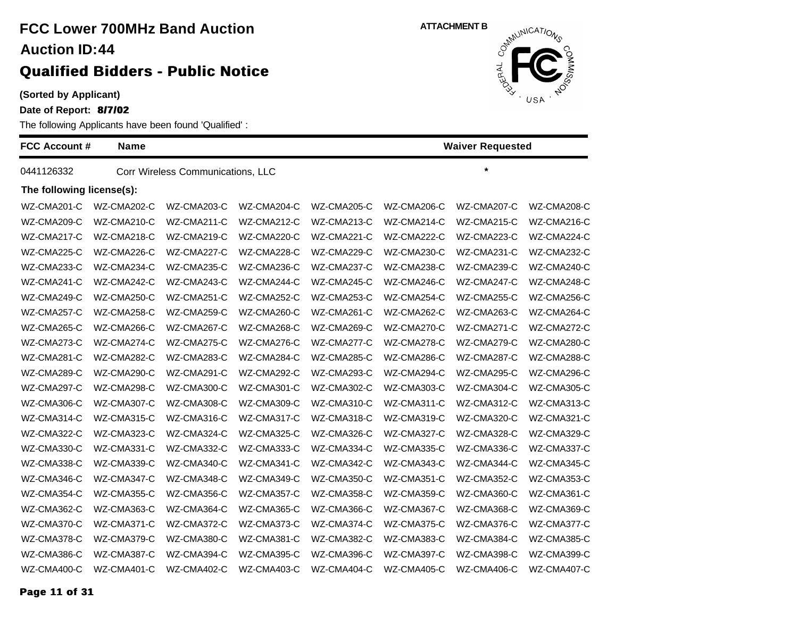### **(Sorted by Applicant)**

**Date of Report: 8/7/02**

The following Applicants have been found 'Qualified' :

| <b>FCC Account #</b>      | <b>Name</b> |                                   | <b>Waiver Requested</b> |             |             |             |             |
|---------------------------|-------------|-----------------------------------|-------------------------|-------------|-------------|-------------|-------------|
| 0441126332                |             | Corr Wireless Communications, LLC |                         |             |             | $\star$     |             |
| The following license(s): |             |                                   |                         |             |             |             |             |
| WZ-CMA201-C               | WZ-CMA202-C | WZ-CMA203-C                       | WZ-CMA204-C             | WZ-CMA205-C | WZ-CMA206-C | WZ-CMA207-C | WZ-CMA208-C |
| WZ-CMA209-C               | WZ-CMA210-C | WZ-CMA211-C                       | WZ-CMA212-C             | WZ-CMA213-C | WZ-CMA214-C | WZ-CMA215-C | WZ-CMA216-C |
| WZ-CMA217-C               | WZ-CMA218-C | WZ-CMA219-C                       | WZ-CMA220-C             | WZ-CMA221-C | WZ-CMA222-C | WZ-CMA223-C | WZ-CMA224-C |
| WZ-CMA225-C               | WZ-CMA226-C | WZ-CMA227-C                       | WZ-CMA228-C             | WZ-CMA229-C | WZ-CMA230-C | WZ-CMA231-C | WZ-CMA232-C |
| WZ-CMA233-C               | WZ-CMA234-C | WZ-CMA235-C                       | WZ-CMA236-C             | WZ-CMA237-C | WZ-CMA238-C | WZ-CMA239-C | WZ-CMA240-C |
| WZ-CMA241-C               | WZ-CMA242-C | WZ-CMA243-C                       | WZ-CMA244-C             | WZ-CMA245-C | WZ-CMA246-C | WZ-CMA247-C | WZ-CMA248-C |
| WZ-CMA249-C               | WZ-CMA250-C | WZ-CMA251-C                       | WZ-CMA252-C             | WZ-CMA253-C | WZ-CMA254-C | WZ-CMA255-C | WZ-CMA256-C |
| WZ-CMA257-C               | WZ-CMA258-C | WZ-CMA259-C                       | WZ-CMA260-C             | WZ-CMA261-C | WZ-CMA262-C | WZ-CMA263-C | WZ-CMA264-C |
| WZ-CMA265-C               | WZ-CMA266-C | WZ-CMA267-C                       | WZ-CMA268-C             | WZ-CMA269-C | WZ-CMA270-C | WZ-CMA271-C | WZ-CMA272-C |
| WZ-CMA273-C               | WZ-CMA274-C | WZ-CMA275-C                       | WZ-CMA276-C             | WZ-CMA277-C | WZ-CMA278-C | WZ-CMA279-C | WZ-CMA280-C |
| WZ-CMA281-C               | WZ-CMA282-C | WZ-CMA283-C                       | WZ-CMA284-C             | WZ-CMA285-C | WZ-CMA286-C | WZ-CMA287-C | WZ-CMA288-C |
| WZ-CMA289-C               | WZ-CMA290-C | WZ-CMA291-C                       | WZ-CMA292-C             | WZ-CMA293-C | WZ-CMA294-C | WZ-CMA295-C | WZ-CMA296-C |
| WZ-CMA297-C               | WZ-CMA298-C | WZ-CMA300-C                       | WZ-CMA301-C             | WZ-CMA302-C | WZ-CMA303-C | WZ-CMA304-C | WZ-CMA305-C |
| WZ-CMA306-C               | WZ-CMA307-C | WZ-CMA308-C                       | WZ-CMA309-C             | WZ-CMA310-C | WZ-CMA311-C | WZ-CMA312-C | WZ-CMA313-C |
| WZ-CMA314-C               | WZ-CMA315-C | WZ-CMA316-C                       | WZ-CMA317-C             | WZ-CMA318-C | WZ-CMA319-C | WZ-CMA320-C | WZ-CMA321-C |
| WZ-CMA322-C               | WZ-CMA323-C | WZ-CMA324-C                       | WZ-CMA325-C             | WZ-CMA326-C | WZ-CMA327-C | WZ-CMA328-C | WZ-CMA329-C |
| WZ-CMA330-C               | WZ-CMA331-C | WZ-CMA332-C                       | WZ-CMA333-C             | WZ-CMA334-C | WZ-CMA335-C | WZ-CMA336-C | WZ-CMA337-C |
| WZ-CMA338-C               | WZ-CMA339-C | WZ-CMA340-C                       | WZ-CMA341-C             | WZ-CMA342-C | WZ-CMA343-C | WZ-CMA344-C | WZ-CMA345-C |
| WZ-CMA346-C               | WZ-CMA347-C | WZ-CMA348-C                       | WZ-CMA349-C             | WZ-CMA350-C | WZ-CMA351-C | WZ-CMA352-C | WZ-CMA353-C |
| WZ-CMA354-C               | WZ-CMA355-C | WZ-CMA356-C                       | WZ-CMA357-C             | WZ-CMA358-C | WZ-CMA359-C | WZ-CMA360-C | WZ-CMA361-C |
| WZ-CMA362-C               | WZ-CMA363-C | WZ-CMA364-C                       | WZ-CMA365-C             | WZ-CMA366-C | WZ-CMA367-C | WZ-CMA368-C | WZ-CMA369-C |
| WZ-CMA370-C               | WZ-CMA371-C | WZ-CMA372-C                       | WZ-CMA373-C             | WZ-CMA374-C | WZ-CMA375-C | WZ-CMA376-C | WZ-CMA377-C |
| WZ-CMA378-C               | WZ-CMA379-C | WZ-CMA380-C                       | WZ-CMA381-C             | WZ-CMA382-C | WZ-CMA383-C | WZ-CMA384-C | WZ-CMA385-C |
| WZ-CMA386-C               | WZ-CMA387-C | WZ-CMA394-C                       | WZ-CMA395-C             | WZ-CMA396-C | WZ-CMA397-C | WZ-CMA398-C | WZ-CMA399-C |
| WZ-CMA400-C               | WZ-CMA401-C | WZ-CMA402-C                       | WZ-CMA403-C             | WZ-CMA404-C | WZ-CMA405-C | WZ-CMA406-C | WZ-CMA407-C |



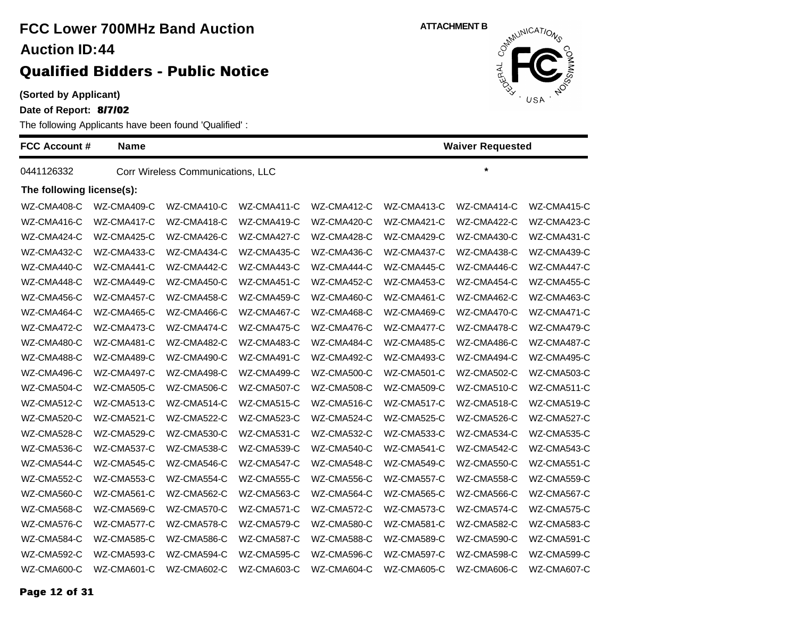### **(Sorted by Applicant)**

**Date of Report: 8/7/02**

The following Applicants have been found 'Qualified' :

| <b>FCC Account #</b>      | <b>Name</b> |                                   |             |             |             | <b>Waiver Requested</b> |             |
|---------------------------|-------------|-----------------------------------|-------------|-------------|-------------|-------------------------|-------------|
| 0441126332                |             | Corr Wireless Communications, LLC |             |             |             | $\star$                 |             |
| The following license(s): |             |                                   |             |             |             |                         |             |
| WZ-CMA408-C               | WZ-CMA409-C | WZ-CMA410-C                       | WZ-CMA411-C | WZ-CMA412-C | WZ-CMA413-C | WZ-CMA414-C             | WZ-CMA415-C |
| WZ-CMA416-C               | WZ-CMA417-C | WZ-CMA418-C                       | WZ-CMA419-C | WZ-CMA420-C | WZ-CMA421-C | WZ-CMA422-C             | WZ-CMA423-C |
| WZ-CMA424-C               | WZ-CMA425-C | WZ-CMA426-C                       | WZ-CMA427-C | WZ-CMA428-C | WZ-CMA429-C | WZ-CMA430-C             | WZ-CMA431-C |
| WZ-CMA432-C               | WZ-CMA433-C | WZ-CMA434-C                       | WZ-CMA435-C | WZ-CMA436-C | WZ-CMA437-C | WZ-CMA438-C             | WZ-CMA439-C |
| WZ-CMA440-C               | WZ-CMA441-C | WZ-CMA442-C                       | WZ-CMA443-C | WZ-CMA444-C | WZ-CMA445-C | WZ-CMA446-C             | WZ-CMA447-C |
| WZ-CMA448-C               | WZ-CMA449-C | WZ-CMA450-C                       | WZ-CMA451-C | WZ-CMA452-C | WZ-CMA453-C | WZ-CMA454-C             | WZ-CMA455-C |
| WZ-CMA456-C               | WZ-CMA457-C | WZ-CMA458-C                       | WZ-CMA459-C | WZ-CMA460-C | WZ-CMA461-C | WZ-CMA462-C             | WZ-CMA463-C |
| WZ-CMA464-C               | WZ-CMA465-C | WZ-CMA466-C                       | WZ-CMA467-C | WZ-CMA468-C | WZ-CMA469-C | WZ-CMA470-C             | WZ-CMA471-C |
| WZ-CMA472-C               | WZ-CMA473-C | WZ-CMA474-C                       | WZ-CMA475-C | WZ-CMA476-C | WZ-CMA477-C | WZ-CMA478-C             | WZ-CMA479-C |
| WZ-CMA480-C               | WZ-CMA481-C | WZ-CMA482-C                       | WZ-CMA483-C | WZ-CMA484-C | WZ-CMA485-C | WZ-CMA486-C             | WZ-CMA487-C |
| WZ-CMA488-C               | WZ-CMA489-C | WZ-CMA490-C                       | WZ-CMA491-C | WZ-CMA492-C | WZ-CMA493-C | WZ-CMA494-C             | WZ-CMA495-C |
| WZ-CMA496-C               | WZ-CMA497-C | WZ-CMA498-C                       | WZ-CMA499-C | WZ-CMA500-C | WZ-CMA501-C | WZ-CMA502-C             | WZ-CMA503-C |
| WZ-CMA504-C               | WZ-CMA505-C | WZ-CMA506-C                       | WZ-CMA507-C | WZ-CMA508-C | WZ-CMA509-C | WZ-CMA510-C             | WZ-CMA511-C |
| WZ-CMA512-C               | WZ-CMA513-C | WZ-CMA514-C                       | WZ-CMA515-C | WZ-CMA516-C | WZ-CMA517-C | WZ-CMA518-C             | WZ-CMA519-C |
| WZ-CMA520-C               | WZ-CMA521-C | WZ-CMA522-C                       | WZ-CMA523-C | WZ-CMA524-C | WZ-CMA525-C | WZ-CMA526-C             | WZ-CMA527-C |
| WZ-CMA528-C               | WZ-CMA529-C | WZ-CMA530-C                       | WZ-CMA531-C | WZ-CMA532-C | WZ-CMA533-C | WZ-CMA534-C             | WZ-CMA535-C |
| WZ-CMA536-C               | WZ-CMA537-C | WZ-CMA538-C                       | WZ-CMA539-C | WZ-CMA540-C | WZ-CMA541-C | WZ-CMA542-C             | WZ-CMA543-C |
| WZ-CMA544-C               | WZ-CMA545-C | WZ-CMA546-C                       | WZ-CMA547-C | WZ-CMA548-C | WZ-CMA549-C | WZ-CMA550-C             | WZ-CMA551-C |
| WZ-CMA552-C               | WZ-CMA553-C | WZ-CMA554-C                       | WZ-CMA555-C | WZ-CMA556-C | WZ-CMA557-C | WZ-CMA558-C             | WZ-CMA559-C |
| WZ-CMA560-C               | WZ-CMA561-C | WZ-CMA562-C                       | WZ-CMA563-C | WZ-CMA564-C | WZ-CMA565-C | WZ-CMA566-C             | WZ-CMA567-C |
| WZ-CMA568-C               | WZ-CMA569-C | WZ-CMA570-C                       | WZ-CMA571-C | WZ-CMA572-C | WZ-CMA573-C | WZ-CMA574-C             | WZ-CMA575-C |
| WZ-CMA576-C               | WZ-CMA577-C | WZ-CMA578-C                       | WZ-CMA579-C | WZ-CMA580-C | WZ-CMA581-C | WZ-CMA582-C             | WZ-CMA583-C |
| WZ-CMA584-C               | WZ-CMA585-C | WZ-CMA586-C                       | WZ-CMA587-C | WZ-CMA588-C | WZ-CMA589-C | WZ-CMA590-C             | WZ-CMA591-C |
| WZ-CMA592-C               | WZ-CMA593-C | WZ-CMA594-C                       | WZ-CMA595-C | WZ-CMA596-C | WZ-CMA597-C | WZ-CMA598-C             | WZ-CMA599-C |
| WZ-CMA600-C               | WZ-CMA601-C | WZ-CMA602-C                       | WZ-CMA603-C | WZ-CMA604-C | WZ-CMA605-C | WZ-CMA606-C             | WZ-CMA607-C |

**ATTACHMENT B**<br>  $\delta^{x}$ <sup>M</sup>
CAT/O<sub>N</sub> ERAL USA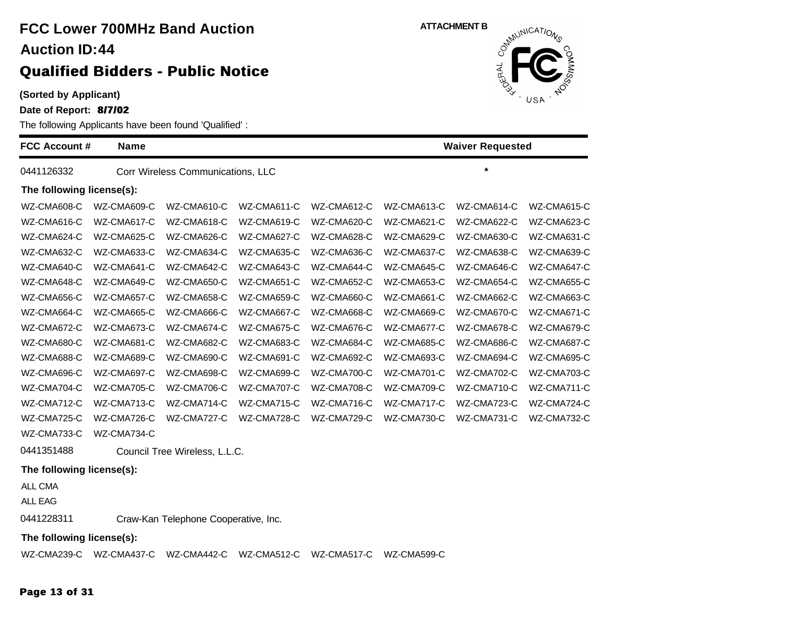**(Sorted by Applicant)**

**Date of Report: 8/7/02**

The following Applicants have been found 'Qualified' :

| <b>FCC Account #</b>      | <b>Name</b> |                                   |             |             |                    | <b>Waiver Requested</b> |             |
|---------------------------|-------------|-----------------------------------|-------------|-------------|--------------------|-------------------------|-------------|
| 0441126332                |             | Corr Wireless Communications, LLC |             |             |                    | $\star$                 |             |
| The following license(s): |             |                                   |             |             |                    |                         |             |
| WZ-CMA608-C               | WZ-CMA609-C | WZ-CMA610-C                       | WZ-CMA611-C | WZ-CMA612-C | WZ-CMA613-C        | WZ-CMA614-C             | WZ-CMA615-C |
| WZ-CMA616-C               | WZ-CMA617-C | WZ-CMA618-C                       | WZ-CMA619-C | WZ-CMA620-C | WZ-CMA621-C        | WZ-CMA622-C             | WZ-CMA623-C |
| WZ-CMA624-C               | WZ-CMA625-C | WZ-CMA626-C                       | WZ-CMA627-C | WZ-CMA628-C | WZ-CMA629-C        | WZ-CMA630-C             | WZ-CMA631-C |
| WZ-CMA632-C               | WZ-CMA633-C | WZ-CMA634-C                       | WZ-CMA635-C | WZ-CMA636-C | WZ-CMA637-C        | WZ-CMA638-C             | WZ-CMA639-C |
| WZ-CMA640-C               | WZ-CMA641-C | WZ-CMA642-C                       | WZ-CMA643-C | WZ-CMA644-C | WZ-CMA645-C        | WZ-CMA646-C             | WZ-CMA647-C |
| WZ-CMA648-C               | WZ-CMA649-C | WZ-CMA650-C                       | WZ-CMA651-C | WZ-CMA652-C | WZ-CMA653-C        | WZ-CMA654-C             | WZ-CMA655-C |
| WZ-CMA656-C               | WZ-CMA657-C | WZ-CMA658-C                       | WZ-CMA659-C | WZ-CMA660-C | WZ-CMA661-C        | WZ-CMA662-C             | WZ-CMA663-C |
| WZ-CMA664-C               | WZ-CMA665-C | WZ-CMA666-C                       | WZ-CMA667-C | WZ-CMA668-C | WZ-CMA669-C        | WZ-CMA670-C             | WZ-CMA671-C |
| WZ-CMA672-C               | WZ-CMA673-C | WZ-CMA674-C                       | WZ-CMA675-C | WZ-CMA676-C | WZ-CMA677-C        | WZ-CMA678-C             | WZ-CMA679-C |
| WZ-CMA680-C               | WZ-CMA681-C | WZ-CMA682-C                       | WZ-CMA683-C | WZ-CMA684-C | WZ-CMA685-C        | WZ-CMA686-C             | WZ-CMA687-C |
| WZ-CMA688-C               | WZ-CMA689-C | WZ-CMA690-C                       | WZ-CMA691-C | WZ-CMA692-C | WZ-CMA693-C        | WZ-CMA694-C             | WZ-CMA695-C |
| WZ-CMA696-C               | WZ-CMA697-C | WZ-CMA698-C                       | WZ-CMA699-C | WZ-CMA700-C | <b>WZ-CMA701-C</b> | WZ-CMA702-C             | WZ-CMA703-C |
| WZ-CMA704-C               | WZ-CMA705-C | WZ-CMA706-C                       | WZ-CMA707-C | WZ-CMA708-C | WZ-CMA709-C        | WZ-CMA710-C             | WZ-CMA711-C |
| WZ-CMA712-C               | WZ-CMA713-C | WZ-CMA714-C                       | WZ-CMA715-C | WZ-CMA716-C | WZ-CMA717-C        | WZ-CMA723-C             | WZ-CMA724-C |
| WZ-CMA725-C               | WZ-CMA726-C | WZ-CMA727-C                       | WZ-CMA728-C | WZ-CMA729-C | WZ-CMA730-C        | WZ-CMA731-C             | WZ-CMA732-C |
| WZ-CMA733-C               | WZ-CMA734-C |                                   |             |             |                    |                         |             |
| 0441351488                |             | Council Tree Wireless, L.L.C.     |             |             |                    |                         |             |
| The following license(s): |             |                                   |             |             |                    |                         |             |
| ALL CMA                   |             |                                   |             |             |                    |                         |             |

ALL EAG

0441228311 Craw-Kan Telephone Cooperative, Inc.

**The following license(s):**

WZ-CMA239-C WZ-CMA437-C WZ-CMA442-C WZ-CMA512-C WZ-CMA517-C WZ-CMA599-C



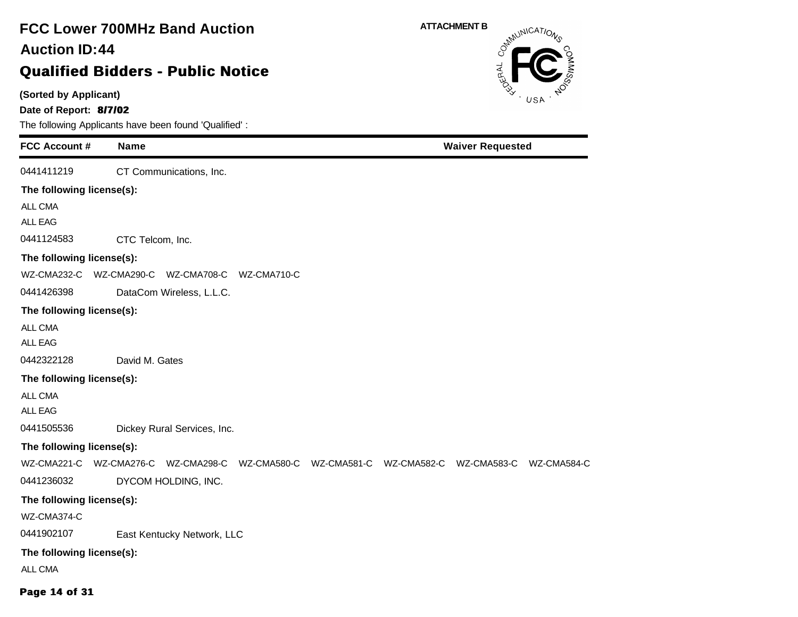### **(Sorted by Applicant) Date of Report: 8/7/02** The following Applicants have been found 'Qualified' : **FCC Account # Name FCC Lower 700MHz Band Auction Qualified Bidders - Public Notice 44 Auction ID: ATTACHMENT B Waiver Requested** 0441411219 CT Communications, Inc. **The following license(s):** ALL CMA ALL EAG 0441124583 CTC Telcom, Inc. **The following license(s):** WZ-CMA232-C WZ-CMA290-C WZ-CMA708-C WZ-CMA710-C 0441426398 DataCom Wireless, L.L.C. **The following license(s):** ALL CMA ALL EAG 0442322128 David M. Gates **The following license(s):** ALL CMA ALL EAG 0441505536 Dickey Rural Services, Inc. **The following license(s):** WZ-CMA221-C WZ-CMA276-C WZ-CMA298-C WZ-CMA580-C WZ-CMA581-C WZ-CMA582-C WZ-CMA583-C WZ-CMA584-C 0441236032 DYCOM HOLDING, INC. **The following license(s):** WZ-CMA374-C 0441902107 East Kentucky Network, LLC **The following license(s):** ALL CMA

#### **Page 14 of 31**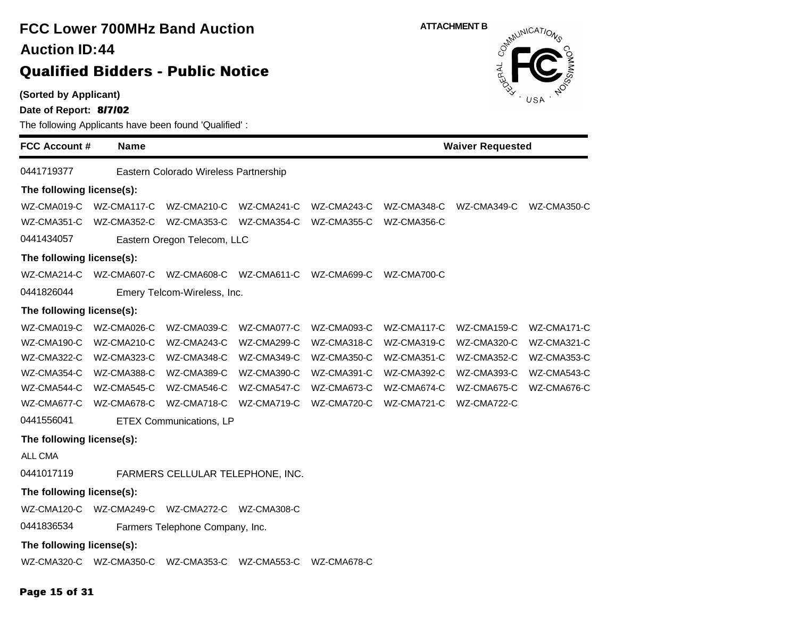# **(Sorted by Applicant) FCC Lower 700MHz Band Auction Qualified Bidders - Public Notice 44 Auction ID:**

**Date of Report: 8/7/02**

The following Applicants have been found 'Qualified' :

**FCC Account # Name Waiver Requested** 0441719377 Eastern Colorado Wireless Partnership **The following license(s):** WZ-CMA019-C WZ-CMA117-C WZ-CMA210-C WZ-CMA241-C WZ-CMA243-C WZ-CMA348-C WZ-CMA349-C WZ-CMA350-C WZ-CMA351-C WZ-CMA352-C WZ-CMA353-C WZ-CMA354-C WZ-CMA355-C WZ-CMA356-C 0441434057 Eastern Oregon Telecom, LLC **The following license(s):** WZ-CMA214-C WZ-CMA607-C WZ-CMA608-C WZ-CMA611-C WZ-CMA699-C WZ-CMA700-C 0441826044 Emery Telcom-Wireless, Inc. **The following license(s):** WZ-CMA019-C WZ-CMA026-C WZ-CMA039-C WZ-CMA077-C WZ-CMA093-C WZ-CMA117-C WZ-CMA159-C WZ-CMA171-C WZ-CMA190-C WZ-CMA210-C WZ-CMA243-C WZ-CMA299-C WZ-CMA318-C WZ-CMA319-C WZ-CMA320-C WZ-CMA321-C WZ-CMA322-C WZ-CMA323-C WZ-CMA348-C WZ-CMA349-C WZ-CMA350-C WZ-CMA351-C WZ-CMA352-C WZ-CMA353-C WZ-CMA354-C WZ-CMA388-C WZ-CMA389-C WZ-CMA390-C WZ-CMA391-C WZ-CMA392-C WZ-CMA393-C WZ-CMA543-C WZ-CMA544-C WZ-CMA545-C WZ-CMA546-C WZ-CMA547-C WZ-CMA673-C WZ-CMA674-C WZ-CMA675-C WZ-CMA676-C WZ-CMA677-C WZ-CMA678-C WZ-CMA718-C WZ-CMA719-C WZ-CMA720-C WZ-CMA721-C WZ-CMA722-C 0441556041 ETEX Communications, LP **The following license(s):** ALL CMA 0441017119 FARMERS CELLULAR TELEPHONE, INC. **The following license(s):** WZ-CMA120-C WZ-CMA249-C WZ-CMA272-C WZ-CMA308-C 0441836534 Farmers Telephone Company, Inc. **The following license(s):** WZ-CMA320-C WZ-CMA350-C WZ-CMA353-C WZ-CMA553-C WZ-CMA678-C

### **Page 15 of 31**

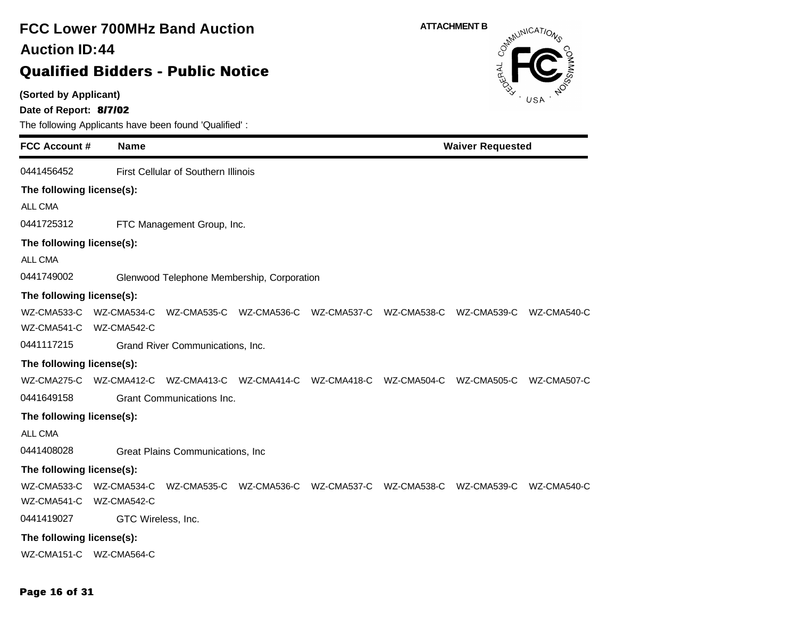### **(Sorted by Applicant) Date of Report: 8/7/02** The following Applicants have been found 'Qualified' : **FCC Account # Name FCC Lower 700MHz Band Auction Qualified Bidders - Public Notice 44 Auction ID: ATTACHMENT B**<br>  $\delta^{mN}$ **Waiver Requested** 0441456452 First Cellular of Southern Illinois **The following license(s):** ALL CMA 0441725312 FTC Management Group, Inc. **The following license(s):** ALL CMA 0441749002 Glenwood Telephone Membership, Corporation **The following license(s):** WZ-CMA533-C WZ-CMA534-C WZ-CMA535-C WZ-CMA536-C WZ-CMA537-C WZ-CMA538-C WZ-CMA539-C WZ-CMA540-C WZ-CMA541-C WZ-CMA542-C 0441117215 Grand River Communications, Inc. **The following license(s):** WZ-CMA275-C WZ-CMA412-C WZ-CMA413-C WZ-CMA414-C WZ-CMA418-C WZ-CMA504-C WZ-CMA505-C WZ-CMA507-C 0441649158 Grant Communications Inc. **The following license(s):** ALL CMA 0441408028 Great Plains Communications, Inc **The following license(s):** WZ-CMA533-C WZ-CMA534-C WZ-CMA535-C WZ-CMA536-C WZ-CMA537-C WZ-CMA538-C WZ-CMA539-C WZ-CMA540-C WZ-CMA541-C WZ-CMA542-C 0441419027 GTC Wireless, Inc. **The following license(s):** WZ-CMA151-C WZ-CMA564-C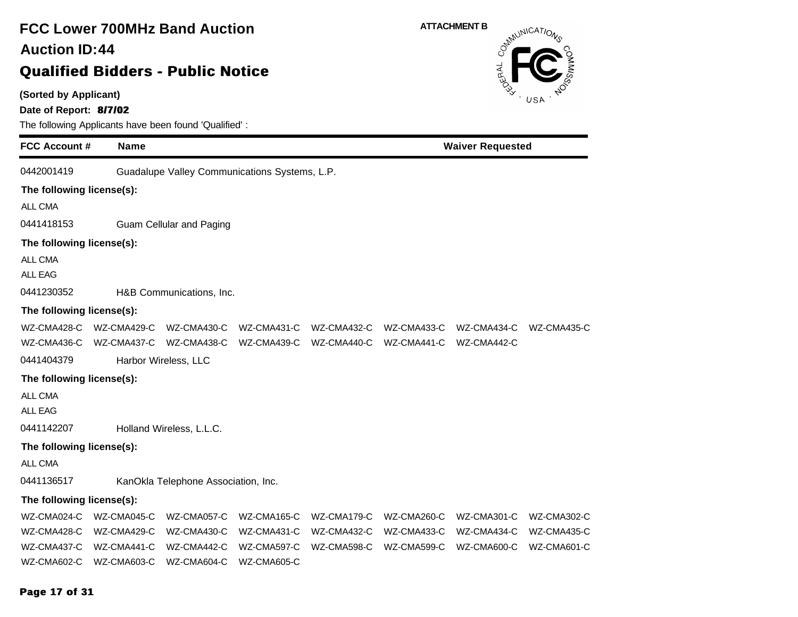### **(Sorted by Applicant) Date of Report: 8/7/02** The following Applicants have been found 'Qualified' : **FCC Account # Name FCC Lower 700MHz Band Auction Qualified Bidders - Public Notice 44 Auction ID: ATTACHMENT B**<br>  $\delta^{mN}$ **Waiver Requested** 0442001419 Guadalupe Valley Communications Systems, L.P. **The following license(s):** ALL CMA 0441418153 Guam Cellular and Paging **The following license(s):** ALL CMA ALL EAG 0441230352 H&B Communications, Inc. **The following license(s):** WZ-CMA428-C WZ-CMA429-C WZ-CMA430-C WZ-CMA431-C WZ-CMA432-C WZ-CMA433-C WZ-CMA434-C WZ-CMA435-C WZ-CMA436-C WZ-CMA437-C WZ-CMA438-C WZ-CMA439-C WZ-CMA440-C WZ-CMA441-C WZ-CMA442-C 0441404379 Harbor Wireless, LLC **The following license(s):** ALL CMA ALL EAG 0441142207 Holland Wireless, L.L.C. **The following license(s):** ALL CMA 0441136517 KanOkla Telephone Association, Inc. **The following license(s):** WZ-CMA024-C WZ-CMA045-C WZ-CMA057-C WZ-CMA165-C WZ-CMA179-C WZ-CMA260-C WZ-CMA301-C WZ-CMA302-C WZ-CMA428-C WZ-CMA429-C WZ-CMA430-C WZ-CMA431-C WZ-CMA432-C WZ-CMA433-C WZ-CMA434-C WZ-CMA435-C WZ-CMA437-C WZ-CMA441-C WZ-CMA442-C WZ-CMA597-C WZ-CMA598-C WZ-CMA599-C WZ-CMA600-C WZ-CMA601-C WZ-CMA602-C WZ-CMA603-C WZ-CMA604-C WZ-CMA605-C

#### **Page 17 of 31**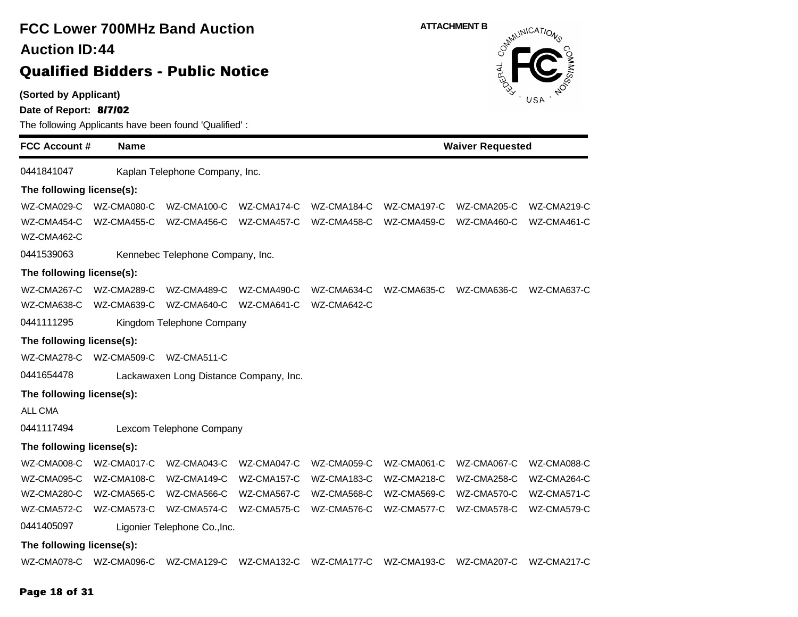**(Sorted by Applicant)**

**Date of Report: 8/7/02**

The following Applicants have been found 'Qualified' :

**FCC Account # Name Waiver Requested** 0441841047 Kaplan Telephone Company, Inc. **The following license(s):** WZ-CMA029-C WZ-CMA080-C WZ-CMA100-C WZ-CMA174-C WZ-CMA184-C WZ-CMA197-C WZ-CMA205-C WZ-CMA219-C WZ-CMA454-C WZ-CMA455-C WZ-CMA456-C WZ-CMA457-C WZ-CMA458-C WZ-CMA459-C WZ-CMA460-C WZ-CMA461-C WZ-CMA462-C 0441539063 Kennebec Telephone Company, Inc. **The following license(s):** WZ-CMA267-C WZ-CMA289-C WZ-CMA489-C WZ-CMA490-C WZ-CMA634-C WZ-CMA635-C WZ-CMA636-C WZ-CMA637-C WZ-CMA638-C WZ-CMA639-C WZ-CMA640-C WZ-CMA641-C WZ-CMA642-C 0441111295 Kingdom Telephone Company **The following license(s):** WZ-CMA278-C WZ-CMA509-C WZ-CMA511-C 0441654478 Lackawaxen Long Distance Company, Inc. **The following license(s):** ALL CMA 0441117494 Lexcom Telephone Company **The following license(s):** WZ-CMA008-C WZ-CMA017-C WZ-CMA043-C WZ-CMA047-C WZ-CMA059-C WZ-CMA061-C WZ-CMA067-C WZ-CMA088-C WZ-CMA095-C WZ-CMA108-C WZ-CMA149-C WZ-CMA157-C WZ-CMA183-C WZ-CMA218-C WZ-CMA258-C WZ-CMA264-C WZ-CMA280-C WZ-CMA565-C WZ-CMA566-C WZ-CMA567-C WZ-CMA568-C WZ-CMA569-C WZ-CMA570-C WZ-CMA571-C WZ-CMA572-C WZ-CMA573-C WZ-CMA574-C WZ-CMA575-C WZ-CMA576-C WZ-CMA577-C WZ-CMA578-C WZ-CMA579-C 0441405097 Ligonier Telephone Co.,Inc. **The following license(s):** WZ-CMA078-C WZ-CMA096-C WZ-CMA129-C WZ-CMA132-C WZ-CMA177-C WZ-CMA193-C WZ-CMA207-C WZ-CMA217-C

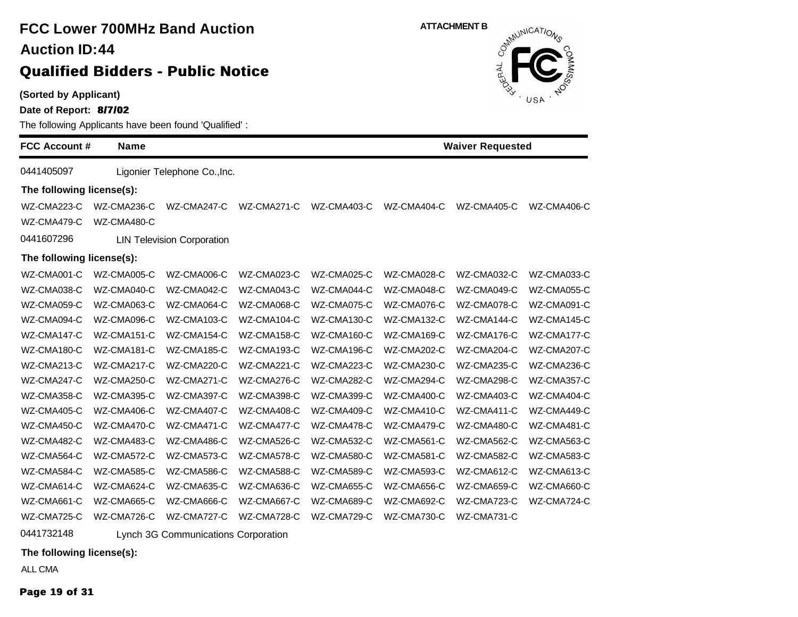# **FCC Lower 700MHz Band Auction 44 Auction ID:**

### **Qualified Bidders - Public Notice**

**(Sorted by Applicant)**

**Date of Report: 8/7/02**

The following Applicants have been found 'Qualified' :

| <b>FCC Account #</b>      | <b>Name</b> |                                   |             | <b>Waiver Requested</b> |             |             |             |
|---------------------------|-------------|-----------------------------------|-------------|-------------------------|-------------|-------------|-------------|
| 0441405097                |             | Ligonier Telephone Co., Inc.      |             |                         |             |             |             |
| The following license(s): |             |                                   |             |                         |             |             |             |
| WZ-CMA223-C               | WZ-CMA236-C | WZ-CMA247-C                       | WZ-CMA271-C | WZ-CMA403-C             | WZ-CMA404-C | WZ-CMA405-C | WZ-CMA406-C |
| WZ-CMA479-C               | WZ-CMA480-C |                                   |             |                         |             |             |             |
| 0441607296                |             | <b>LIN Television Corporation</b> |             |                         |             |             |             |
| The following license(s): |             |                                   |             |                         |             |             |             |
| WZ-CMA001-C               | WZ-CMA005-C | WZ-CMA006-C                       | WZ-CMA023-C | WZ-CMA025-C             | WZ-CMA028-C | WZ-CMA032-C | WZ-CMA033-C |
| WZ-CMA038-C               | WZ-CMA040-C | WZ-CMA042-C                       | WZ-CMA043-C | WZ-CMA044-C             | WZ-CMA048-C | WZ-CMA049-C | WZ-CMA055-C |
| WZ-CMA059-C               | WZ-CMA063-C | WZ-CMA064-C                       | WZ-CMA068-C | WZ-CMA075-C             | WZ-CMA076-C | WZ-CMA078-C | WZ-CMA091-C |
| WZ-CMA094-C               | WZ-CMA096-C | WZ-CMA103-C                       | WZ-CMA104-C | WZ-CMA130-C             | WZ-CMA132-C | WZ-CMA144-C | WZ-CMA145-C |
| WZ-CMA147-C               | WZ-CMA151-C | WZ-CMA154-C                       | WZ-CMA158-C | WZ-CMA160-C             | WZ-CMA169-C | WZ-CMA176-C | WZ-CMA177-C |
| WZ-CMA180-C               | WZ-CMA181-C | WZ-CMA185-C                       | WZ-CMA193-C | WZ-CMA196-C             | WZ-CMA202-C | WZ-CMA204-C | WZ-CMA207-C |
| WZ-CMA213-C               | WZ-CMA217-C | WZ-CMA220-C                       | WZ-CMA221-C | WZ-CMA223-C             | WZ-CMA230-C | WZ-CMA235-C | WZ-CMA236-C |
| WZ-CMA247-C               | WZ-CMA250-C | WZ-CMA271-C                       | WZ-CMA276-C | WZ-CMA282-C             | WZ-CMA294-C | WZ-CMA298-C | WZ-CMA357-C |
| WZ-CMA358-C               | WZ-CMA395-C | WZ-CMA397-C                       | WZ-CMA398-C | WZ-CMA399-C             | WZ-CMA400-C | WZ-CMA403-C | WZ-CMA404-C |
| WZ-CMA405-C               | WZ-CMA406-C | WZ-CMA407-C                       | WZ-CMA408-C | WZ-CMA409-C             | WZ-CMA410-C | WZ-CMA411-C | WZ-CMA449-C |
| WZ-CMA450-C               | WZ-CMA470-C | WZ-CMA471-C                       | WZ-CMA477-C | WZ-CMA478-C             | WZ-CMA479-C | WZ-CMA480-C | WZ-CMA481-C |
| WZ-CMA482-C               | WZ-CMA483-C | WZ-CMA486-C                       | WZ-CMA526-C | WZ-CMA532-C             | WZ-CMA561-C | WZ-CMA562-C | WZ-CMA563-C |
| WZ-CMA564-C               | WZ-CMA572-C | WZ-CMA573-C                       | WZ-CMA578-C | WZ-CMA580-C             | WZ-CMA581-C | WZ-CMA582-C | WZ-CMA583-C |
| WZ-CMA584-C               | WZ-CMA585-C | WZ-CMA586-C                       | WZ-CMA588-C | WZ-CMA589-C             | WZ-CMA593-C | WZ-CMA612-C | WZ-CMA613-C |
| WZ-CMA614-C               | WZ-CMA624-C | WZ-CMA635-C                       | WZ-CMA636-C | WZ-CMA655-C             | WZ-CMA656-C | WZ-CMA659-C | WZ-CMA660-C |
| WZ-CMA661-C               | WZ-CMA665-C | WZ-CMA666-C                       | WZ-CMA667-C | WZ-CMA689-C             | WZ-CMA692-C | WZ-CMA723-C | WZ-CMA724-C |
| WZ-CMA725-C               | WZ-CMA726-C | WZ-CMA727-C                       | WZ-CMA728-C | WZ-CMA729-C             | WZ-CMA730-C | WZ-CMA731-C |             |

0441732148 Lynch 3G Communications Corporation

**The following license(s):**

ALL CMA

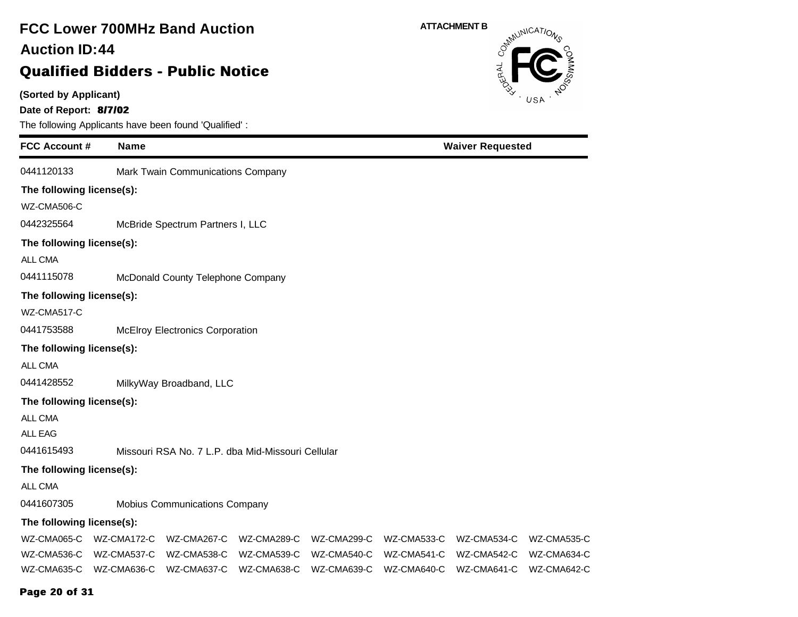### **(Sorted by Applicant) Date of Report: 8/7/02** The following Applicants have been found 'Qualified' : **FCC Account # Name FCC Lower 700MHz Band Auction Qualified Bidders - Public Notice 44 Auction ID: ATTACHMENT B**<br>  $\delta^{mN}$ **Waiver Requested** 0441120133 Mark Twain Communications Company **The following license(s):** WZ-CMA506-C 0442325564 McBride Spectrum Partners I, LLC **The following license(s):** ALL CMA 0441115078 McDonald County Telephone Company **The following license(s):** WZ-CMA517-C 0441753588 McElroy Electronics Corporation **The following license(s):** ALL CMA 0441428552 MilkyWay Broadband, LLC **The following license(s):** ALL CMA ALL EAG 0441615493 Missouri RSA No. 7 L.P. dba Mid-Missouri Cellular **The following license(s):** ALL CMA 0441607305 Mobius Communications Company **The following license(s):** WZ-CMA065-C WZ-CMA172-C WZ-CMA267-C WZ-CMA289-C WZ-CMA299-C WZ-CMA533-C WZ-CMA534-C WZ-CMA535-C WZ-CMA536-C WZ-CMA537-C WZ-CMA538-C WZ-CMA539-C WZ-CMA540-C WZ-CMA541-C WZ-CMA542-C WZ-CMA634-C WZ-CMA635-C WZ-CMA636-C WZ-CMA637-C WZ-CMA638-C WZ-CMA639-C WZ-CMA640-C WZ-CMA641-C WZ-CMA642-C

#### **Page 20 of 31**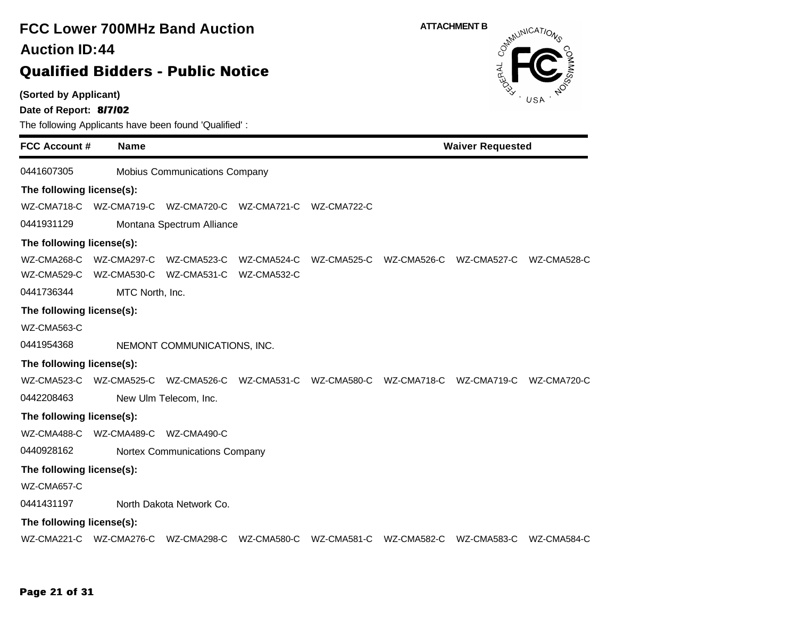# **(Sorted by Applicant) Date of Report: 8/7/02** The following Applicants have been found 'Qualified' : **FCC Account # Name FCC Lower 700MHz Band Auction Qualified Bidders - Public Notice 44 Auction ID:** 0441607305 Mobius Communications Company **The following license(s):** WZ-CMA718-C WZ-CMA719-C WZ-CMA720-C WZ-CMA721-C WZ-CMA722-C 0441931129 Montana Spectrum Alliance **The following license(s):**

WZ-CMA268-C WZ-CMA297-C WZ-CMA523-C WZ-CMA524-C WZ-CMA525-C WZ-CMA526-C WZ-CMA527-C WZ-CMA528-C WZ-CMA529-C WZ-CMA530-C WZ-CMA531-C WZ-CMA532-C

0441736344 MTC North, Inc.

#### **The following license(s):**

WZ-CMA563-C

0441954368 NEMONT COMMUNICATIONS, INC.

#### **The following license(s):**

WZ-CMA523-C WZ-CMA525-C WZ-CMA526-C WZ-CMA531-C WZ-CMA580-C WZ-CMA718-C WZ-CMA719-C WZ-CMA720-C

0442208463 New Ulm Telecom, Inc.

### **The following license(s):**

WZ-CMA488-C WZ-CMA489-C WZ-CMA490-C

0440928162 Nortex Communications Company

### **The following license(s):**

WZ-CMA657-C

0441431197 North Dakota Network Co.

### **The following license(s):**

WZ-CMA221-C WZ-CMA276-C WZ-CMA298-C WZ-CMA580-C WZ-CMA581-C WZ-CMA582-C WZ-CMA583-C WZ-CMA584-C





**Waiver Requested**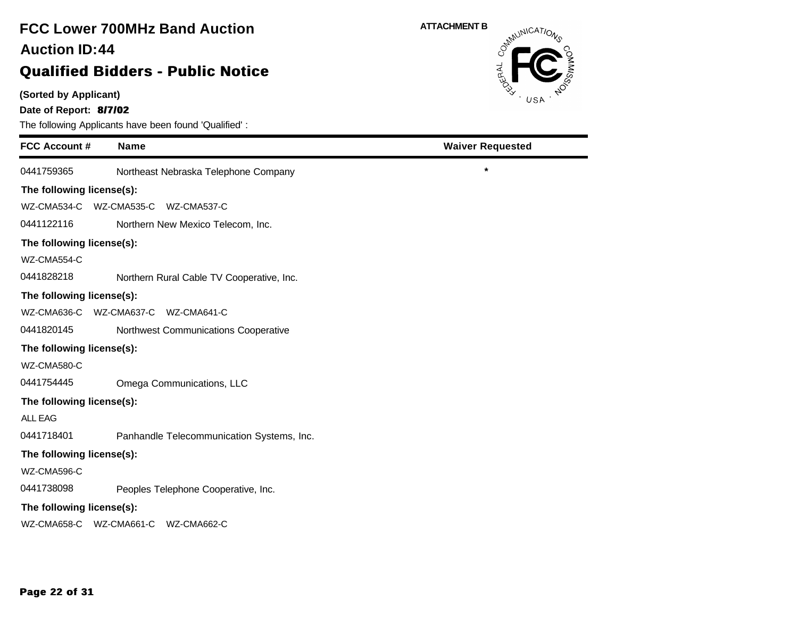# **FCC Lower 700MHz Band Auction 44 Auction ID:**

## **Qualified Bidders - Public Notice**

**(Sorted by Applicant)**

**Date of Report: 8/7/02**

The following Applicants have been found 'Qualified' :

| <b>FCC Account #</b>      | <b>Name</b>                               | <b>Waiver Requested</b> |
|---------------------------|-------------------------------------------|-------------------------|
| 0441759365                | Northeast Nebraska Telephone Company      | $\star$                 |
| The following license(s): |                                           |                         |
| WZ-CMA534-C               | WZ-CMA535-C WZ-CMA537-C                   |                         |
| 0441122116                | Northern New Mexico Telecom, Inc.         |                         |
| The following license(s): |                                           |                         |
| WZ-CMA554-C               |                                           |                         |
| 0441828218                | Northern Rural Cable TV Cooperative, Inc. |                         |
| The following license(s): |                                           |                         |
| WZ-CMA636-C               | WZ-CMA637-C WZ-CMA641-C                   |                         |
| 0441820145                | Northwest Communications Cooperative      |                         |
| The following license(s): |                                           |                         |
| WZ-CMA580-C               |                                           |                         |
| 0441754445                | Omega Communications, LLC                 |                         |
| The following license(s): |                                           |                         |
| <b>ALL EAG</b>            |                                           |                         |
| 0441718401                | Panhandle Telecommunication Systems, Inc. |                         |
| The following license(s): |                                           |                         |
| WZ-CMA596-C               |                                           |                         |
| 0441738098                | Peoples Telephone Cooperative, Inc.       |                         |
| The following license(s): |                                           |                         |
| WZ-CMA658-C               | WZ-CMA661-C<br>WZ-CMA662-C                |                         |



e e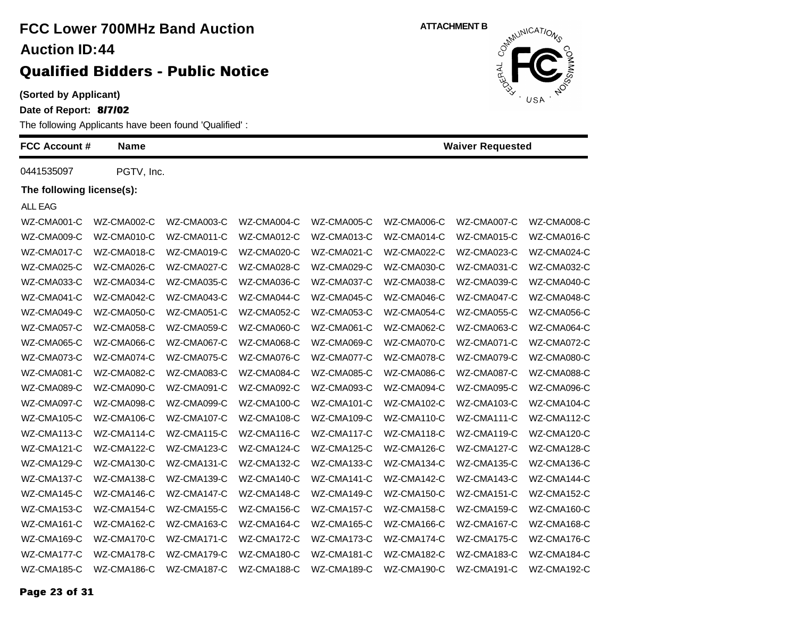**(Sorted by Applicant)**

**Date of Report: 8/7/02**

The following Applicants have been found 'Qualified' :

| <b>FCC Account #</b>      | <b>Name</b> |             |             |             |             | <b>Waiver Requested</b> |             |
|---------------------------|-------------|-------------|-------------|-------------|-------------|-------------------------|-------------|
| 0441535097                | PGTV, Inc.  |             |             |             |             |                         |             |
| The following license(s): |             |             |             |             |             |                         |             |
| ALL EAG                   |             |             |             |             |             |                         |             |
| WZ-CMA001-C               | WZ-CMA002-C | WZ-CMA003-C | WZ-CMA004-C | WZ-CMA005-C | WZ-CMA006-C | WZ-CMA007-C             | WZ-CMA008-C |
| WZ-CMA009-C               | WZ-CMA010-C | WZ-CMA011-C | WZ-CMA012-C | WZ-CMA013-C | WZ-CMA014-C | WZ-CMA015-C             | WZ-CMA016-C |
| WZ-CMA017-C               | WZ-CMA018-C | WZ-CMA019-C | WZ-CMA020-C | WZ-CMA021-C | WZ-CMA022-C | WZ-CMA023-C             | WZ-CMA024-C |
| WZ-CMA025-C               | WZ-CMA026-C | WZ-CMA027-C | WZ-CMA028-C | WZ-CMA029-C | WZ-CMA030-C | WZ-CMA031-C             | WZ-CMA032-C |
| WZ-CMA033-C               | WZ-CMA034-C | WZ-CMA035-C | WZ-CMA036-C | WZ-CMA037-C | WZ-CMA038-C | WZ-CMA039-C             | WZ-CMA040-C |
| WZ-CMA041-C               | WZ-CMA042-C | WZ-CMA043-C | WZ-CMA044-C | WZ-CMA045-C | WZ-CMA046-C | WZ-CMA047-C             | WZ-CMA048-C |
| WZ-CMA049-C               | WZ-CMA050-C | WZ-CMA051-C | WZ-CMA052-C | WZ-CMA053-C | WZ-CMA054-C | WZ-CMA055-C             | WZ-CMA056-C |
| WZ-CMA057-C               | WZ-CMA058-C | WZ-CMA059-C | WZ-CMA060-C | WZ-CMA061-C | WZ-CMA062-C | WZ-CMA063-C             | WZ-CMA064-C |
| WZ-CMA065-C               | WZ-CMA066-C | WZ-CMA067-C | WZ-CMA068-C | WZ-CMA069-C | WZ-CMA070-C | WZ-CMA071-C             | WZ-CMA072-C |
| WZ-CMA073-C               | WZ-CMA074-C | WZ-CMA075-C | WZ-CMA076-C | WZ-CMA077-C | WZ-CMA078-C | WZ-CMA079-C             | WZ-CMA080-C |
| WZ-CMA081-C               | WZ-CMA082-C | WZ-CMA083-C | WZ-CMA084-C | WZ-CMA085-C | WZ-CMA086-C | WZ-CMA087-C             | WZ-CMA088-C |
| WZ-CMA089-C               | WZ-CMA090-C | WZ-CMA091-C | WZ-CMA092-C | WZ-CMA093-C | WZ-CMA094-C | WZ-CMA095-C             | WZ-CMA096-C |
| WZ-CMA097-C               | WZ-CMA098-C | WZ-CMA099-C | WZ-CMA100-C | WZ-CMA101-C | WZ-CMA102-C | WZ-CMA103-C             | WZ-CMA104-C |
| WZ-CMA105-C               | WZ-CMA106-C | WZ-CMA107-C | WZ-CMA108-C | WZ-CMA109-C | WZ-CMA110-C | WZ-CMA111-C             | WZ-CMA112-C |
| WZ-CMA113-C               | WZ-CMA114-C | WZ-CMA115-C | WZ-CMA116-C | WZ-CMA117-C | WZ-CMA118-C | WZ-CMA119-C             | WZ-CMA120-C |
| WZ-CMA121-C               | WZ-CMA122-C | WZ-CMA123-C | WZ-CMA124-C | WZ-CMA125-C | WZ-CMA126-C | WZ-CMA127-C             | WZ-CMA128-C |
| WZ-CMA129-C               | WZ-CMA130-C | WZ-CMA131-C | WZ-CMA132-C | WZ-CMA133-C | WZ-CMA134-C | WZ-CMA135-C             | WZ-CMA136-C |
| WZ-CMA137-C               | WZ-CMA138-C | WZ-CMA139-C | WZ-CMA140-C | WZ-CMA141-C | WZ-CMA142-C | WZ-CMA143-C             | WZ-CMA144-C |
| WZ-CMA145-C               | WZ-CMA146-C | WZ-CMA147-C | WZ-CMA148-C | WZ-CMA149-C | WZ-CMA150-C | WZ-CMA151-C             | WZ-CMA152-C |
| WZ-CMA153-C               | WZ-CMA154-C | WZ-CMA155-C | WZ-CMA156-C | WZ-CMA157-C | WZ-CMA158-C | WZ-CMA159-C             | WZ-CMA160-C |
| WZ-CMA161-C               | WZ-CMA162-C | WZ-CMA163-C | WZ-CMA164-C | WZ-CMA165-C | WZ-CMA166-C | WZ-CMA167-C             | WZ-CMA168-C |
| WZ-CMA169-C               | WZ-CMA170-C | WZ-CMA171-C | WZ-CMA172-C | WZ-CMA173-C | WZ-CMA174-C | WZ-CMA175-C             | WZ-CMA176-C |
| WZ-CMA177-C               | WZ-CMA178-C | WZ-CMA179-C | WZ-CMA180-C | WZ-CMA181-C | WZ-CMA182-C | WZ-CMA183-C             | WZ-CMA184-C |
| WZ-CMA185-C               | WZ-CMA186-C | WZ-CMA187-C | WZ-CMA188-C | WZ-CMA189-C | WZ-CMA190-C | WZ-CMA191-C             | WZ-CMA192-C |

**ATTACHMENT B** JERAL USA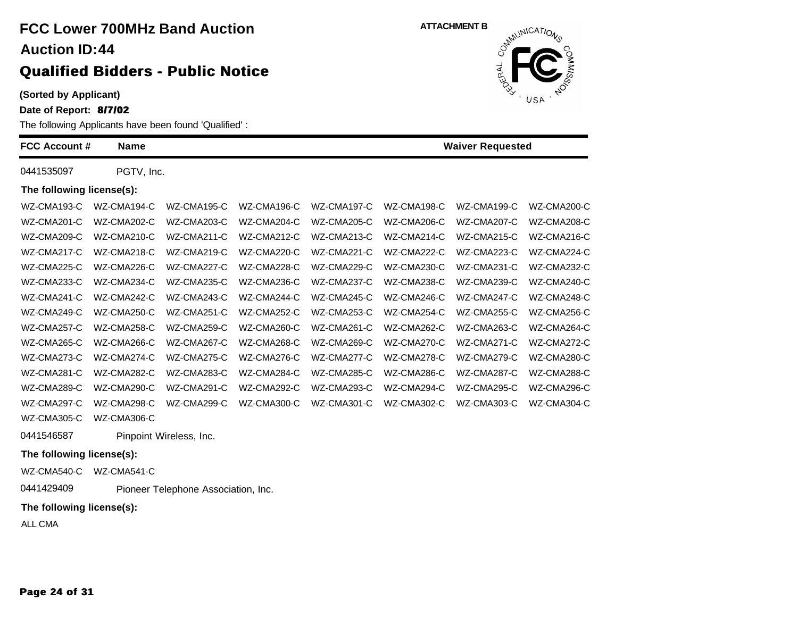**(Sorted by Applicant)**

**Date of Report: 8/7/02**

The following Applicants have been found 'Qualified' :

| <b>FCC Account #</b>      | <b>Name</b> |                                     |             |             |             | <b>Waiver Requested</b> |             |
|---------------------------|-------------|-------------------------------------|-------------|-------------|-------------|-------------------------|-------------|
| 0441535097                | PGTV, Inc.  |                                     |             |             |             |                         |             |
| The following license(s): |             |                                     |             |             |             |                         |             |
| WZ-CMA193-C               | WZ-CMA194-C | WZ-CMA195-C                         | WZ-CMA196-C | WZ-CMA197-C | WZ-CMA198-C | WZ-CMA199-C             | WZ-CMA200-C |
| WZ-CMA201-C               | WZ-CMA202-C | WZ-CMA203-C                         | WZ-CMA204-C | WZ-CMA205-C | WZ-CMA206-C | WZ-CMA207-C             | WZ-CMA208-C |
| WZ-CMA209-C               | WZ-CMA210-C | WZ-CMA211-C                         | WZ-CMA212-C | WZ-CMA213-C | WZ-CMA214-C | WZ-CMA215-C             | WZ-CMA216-C |
| WZ-CMA217-C               | WZ-CMA218-C | WZ-CMA219-C                         | WZ-CMA220-C | WZ-CMA221-C | WZ-CMA222-C | WZ-CMA223-C             | WZ-CMA224-C |
| WZ-CMA225-C               | WZ-CMA226-C | WZ-CMA227-C                         | WZ-CMA228-C | WZ-CMA229-C | WZ-CMA230-C | WZ-CMA231-C             | WZ-CMA232-C |
| WZ-CMA233-C               | WZ-CMA234-C | WZ-CMA235-C                         | WZ-CMA236-C | WZ-CMA237-C | WZ-CMA238-C | WZ-CMA239-C             | WZ-CMA240-C |
| WZ-CMA241-C               | WZ-CMA242-C | WZ-CMA243-C                         | WZ-CMA244-C | WZ-CMA245-C | WZ-CMA246-C | WZ-CMA247-C             | WZ-CMA248-C |
| WZ-CMA249-C               | WZ-CMA250-C | WZ-CMA251-C                         | WZ-CMA252-C | WZ-CMA253-C | WZ-CMA254-C | WZ-CMA255-C             | WZ-CMA256-C |
| WZ-CMA257-C               | WZ-CMA258-C | WZ-CMA259-C                         | WZ-CMA260-C | WZ-CMA261-C | WZ-CMA262-C | WZ-CMA263-C             | WZ-CMA264-C |
| WZ-CMA265-C               | WZ-CMA266-C | WZ-CMA267-C                         | WZ-CMA268-C | WZ-CMA269-C | WZ-CMA270-C | WZ-CMA271-C             | WZ-CMA272-C |
| WZ-CMA273-C               | WZ-CMA274-C | WZ-CMA275-C                         | WZ-CMA276-C | WZ-CMA277-C | WZ-CMA278-C | WZ-CMA279-C             | WZ-CMA280-C |
| WZ-CMA281-C               | WZ-CMA282-C | WZ-CMA283-C                         | WZ-CMA284-C | WZ-CMA285-C | WZ-CMA286-C | WZ-CMA287-C             | WZ-CMA288-C |
| WZ-CMA289-C               | WZ-CMA290-C | WZ-CMA291-C                         | WZ-CMA292-C | WZ-CMA293-C | WZ-CMA294-C | WZ-CMA295-C             | WZ-CMA296-C |
| WZ-CMA297-C               | WZ-CMA298-C | WZ-CMA299-C                         | WZ-CMA300-C | WZ-CMA301-C | WZ-CMA302-C | WZ-CMA303-C             | WZ-CMA304-C |
| WZ-CMA305-C               | WZ-CMA306-C |                                     |             |             |             |                         |             |
| 0441546587                |             | Pinpoint Wireless, Inc.             |             |             |             |                         |             |
| The following license(s): |             |                                     |             |             |             |                         |             |
| WZ-CMA540-C               | WZ-CMA541-C |                                     |             |             |             |                         |             |
| 0441429409                |             | Pioneer Telephone Association, Inc. |             |             |             |                         |             |

**ATTACHMENT B**<br>
o<sup>thulCAT/O</sup>

JERAL

USA

**The following license(s):**

ALL CMA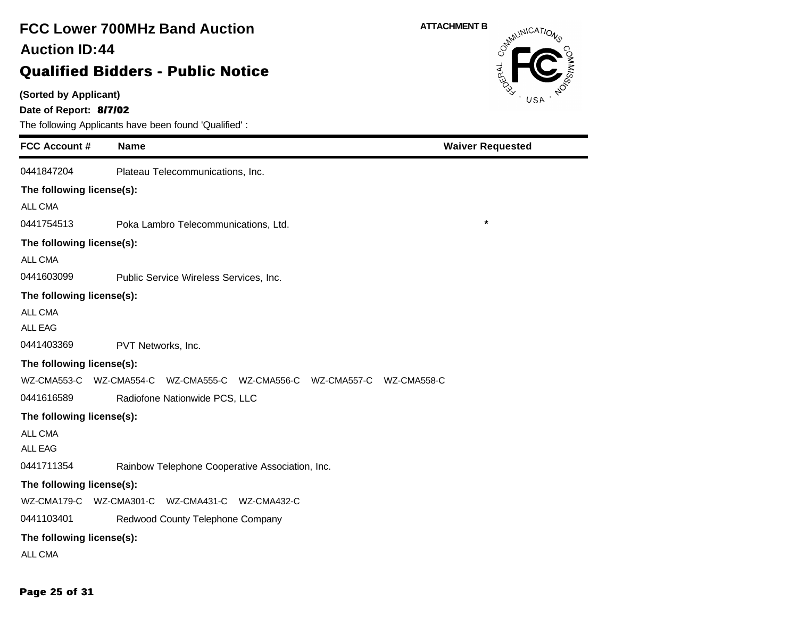# **FCC Lower 700MHz Band Auction 44 Auction ID:**

### **Qualified Bidders - Public Notice**

**(Sorted by Applicant)**

**Date of Report: 8/7/02**

The following Applicants have been found 'Qualified' :

| <b>FCC Account #</b>      | <b>Name</b>                                                             | <b>Waiver Requested</b> |
|---------------------------|-------------------------------------------------------------------------|-------------------------|
| 0441847204                | Plateau Telecommunications, Inc.                                        |                         |
| The following license(s): |                                                                         |                         |
| ALL CMA                   |                                                                         |                         |
| 0441754513                | Poka Lambro Telecommunications, Ltd.                                    | $\star$                 |
| The following license(s): |                                                                         |                         |
| ALL CMA                   |                                                                         |                         |
| 0441603099                | Public Service Wireless Services, Inc.                                  |                         |
| The following license(s): |                                                                         |                         |
| ALL CMA                   |                                                                         |                         |
| <b>ALL EAG</b>            |                                                                         |                         |
| 0441403369                | PVT Networks, Inc.                                                      |                         |
| The following license(s): |                                                                         |                         |
|                           | WZ-CMA553-C WZ-CMA554-C WZ-CMA555-C WZ-CMA556-C WZ-CMA557-C WZ-CMA558-C |                         |
| 0441616589                | Radiofone Nationwide PCS, LLC                                           |                         |
| The following license(s): |                                                                         |                         |
| ALL CMA                   |                                                                         |                         |
| <b>ALL EAG</b>            |                                                                         |                         |
| 0441711354                | Rainbow Telephone Cooperative Association, Inc.                         |                         |
| The following license(s): |                                                                         |                         |
| WZ-CMA179-C               | WZ-CMA301-C WZ-CMA431-C WZ-CMA432-C                                     |                         |
| 0441103401                | Redwood County Telephone Company                                        |                         |
| The following license(s): |                                                                         |                         |
| ALL CMA                   |                                                                         |                         |



**Page 25 of 31**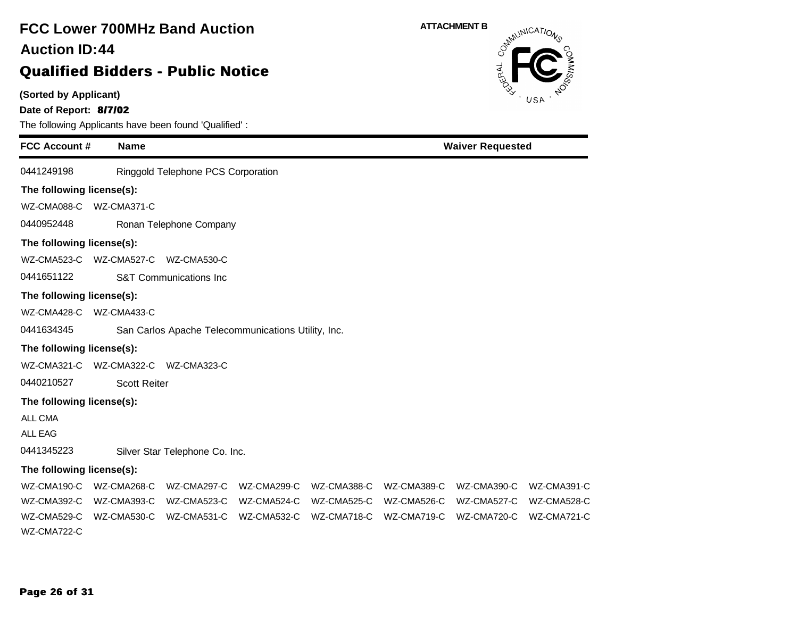### **(Sorted by Applicant) Date of Report: 8/7/02** The following Applicants have been found 'Qualified' : **FCC Account # Name FCC Lower 700MHz Band Auction Qualified Bidders - Public Notice 44 Auction ID: ATTACHMENT B**<br>  $\delta^{mN}$ **Waiver Requested** 0441249198 Ringgold Telephone PCS Corporation **The following license(s):** WZ-CMA088-C WZ-CMA371-C 0440952448 Ronan Telephone Company **The following license(s):** WZ-CMA523-C WZ-CMA527-C WZ-CMA530-C 0441651122 S&T Communications Inc **The following license(s):** WZ-CMA428-C WZ-CMA433-C 0441634345 San Carlos Apache Telecommunications Utility, Inc. **The following license(s):** WZ-CMA321-C WZ-CMA322-C WZ-CMA323-C 0440210527 Scott Reiter **The following license(s):** ALL CMA ALL EAG 0441345223 Silver Star Telephone Co. Inc. **The following license(s):** WZ-CMA190-C WZ-CMA268-C WZ-CMA297-C WZ-CMA299-C WZ-CMA388-C WZ-CMA389-C WZ-CMA390-C WZ-CMA391-C WZ-CMA392-C WZ-CMA393-C WZ-CMA523-C WZ-CMA524-C WZ-CMA525-C WZ-CMA526-C WZ-CMA527-C WZ-CMA528-C WZ-CMA529-C WZ-CMA530-C WZ-CMA531-C WZ-CMA532-C WZ-CMA718-C WZ-CMA719-C WZ-CMA720-C WZ-CMA721-C WZ-CMA722-C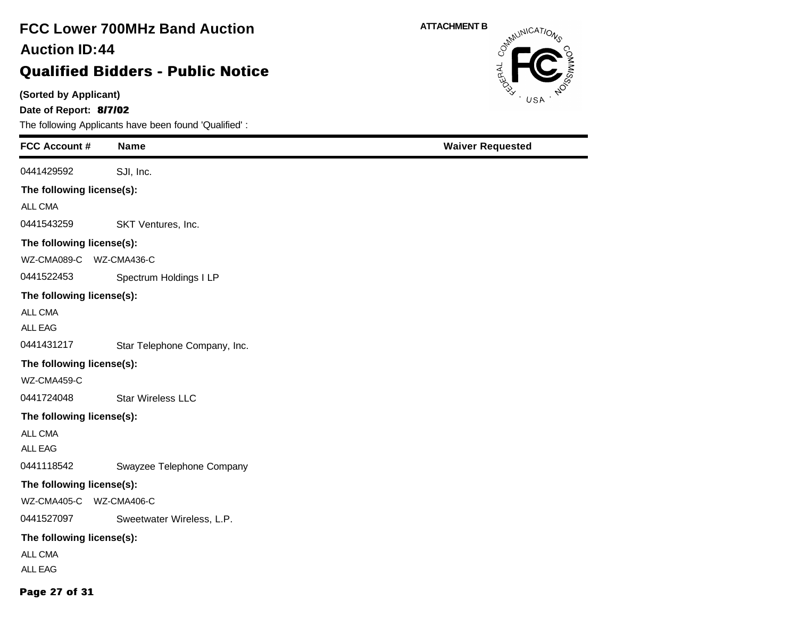**(Sorted by Applicant)**

**Date of Report: 8/7/02**

The following Applicants have been found 'Qualified' :

| <b>FCC Account #</b>      | <b>Name</b>                  | <b>Waiver Requested</b> |
|---------------------------|------------------------------|-------------------------|
| 0441429592                | SJI, Inc.                    |                         |
| The following license(s): |                              |                         |
| ALL CMA                   |                              |                         |
| 0441543259                | SKT Ventures, Inc.           |                         |
| The following license(s): |                              |                         |
| WZ-CMA089-C               | WZ-CMA436-C                  |                         |
| 0441522453                | Spectrum Holdings I LP       |                         |
| The following license(s): |                              |                         |
| ALL CMA                   |                              |                         |
| ALL EAG                   |                              |                         |
| 0441431217                | Star Telephone Company, Inc. |                         |
| The following license(s): |                              |                         |
| WZ-CMA459-C               |                              |                         |
| 0441724048                | Star Wireless LLC            |                         |
| The following license(s): |                              |                         |
| ALL CMA                   |                              |                         |
| ALL EAG                   |                              |                         |
| 0441118542                | Swayzee Telephone Company    |                         |
| The following license(s): |                              |                         |
| WZ-CMA405-C WZ-CMA406-C   |                              |                         |
| 0441527097                | Sweetwater Wireless, L.P.    |                         |
| The following license(s): |                              |                         |
| ALL CMA                   |                              |                         |
| ALL EAG                   |                              |                         |
| Page 27 of 31             |                              |                         |

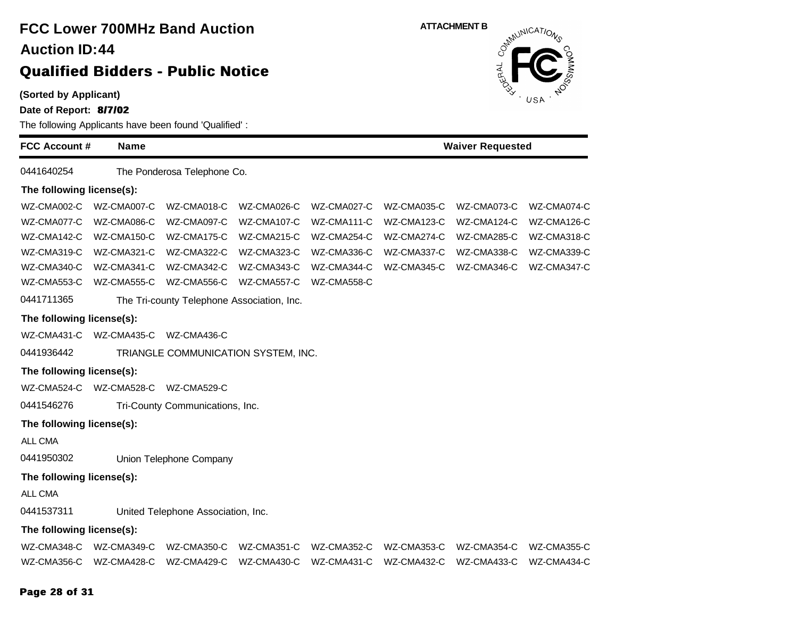| <b>Auction ID:44</b>                            |             | <b>FCC Lower 700MHz Band Auction</b><br><b>Qualified Bidders - Public Notice</b> |             | <b>ATTACHMENT B</b><br>Communications<br>RAL |             |             |             |  |
|-------------------------------------------------|-------------|----------------------------------------------------------------------------------|-------------|----------------------------------------------|-------------|-------------|-------------|--|
| (Sorted by Applicant)<br>Date of Report: 8/7/02 |             | The following Applicants have been found 'Qualified':                            |             |                                              |             |             | USA         |  |
| <b>FCC Account #</b>                            | <b>Name</b> |                                                                                  |             | <b>Waiver Requested</b>                      |             |             |             |  |
| 0441640254                                      |             | The Ponderosa Telephone Co.                                                      |             |                                              |             |             |             |  |
| The following license(s):                       |             |                                                                                  |             |                                              |             |             |             |  |
| WZ-CMA002-C                                     | WZ-CMA007-C | WZ-CMA018-C                                                                      | WZ-CMA026-C | WZ-CMA027-C                                  | WZ-CMA035-C | WZ-CMA073-C | WZ-CMA074-C |  |
| WZ-CMA077-C                                     | WZ-CMA086-C | WZ-CMA097-C                                                                      | WZ-CMA107-C | WZ-CMA111-C                                  | WZ-CMA123-C | WZ-CMA124-C | WZ-CMA126-C |  |
| WZ-CMA142-C                                     | WZ-CMA150-C | WZ-CMA175-C                                                                      | WZ-CMA215-C | WZ-CMA254-C                                  | WZ-CMA274-C | WZ-CMA285-C | WZ-CMA318-C |  |
| WZ-CMA319-C                                     | WZ-CMA321-C | WZ-CMA322-C                                                                      | WZ-CMA323-C | WZ-CMA336-C                                  | WZ-CMA337-C | WZ-CMA338-C | WZ-CMA339-C |  |
| WZ-CMA340-C                                     | WZ-CMA341-C | WZ-CMA342-C                                                                      | WZ-CMA343-C | WZ-CMA344-C                                  | WZ-CMA345-C | WZ-CMA346-C | WZ-CMA347-C |  |
| WZ-CMA553-C                                     | WZ-CMA555-C | WZ-CMA556-C                                                                      | WZ-CMA557-C | WZ-CMA558-C                                  |             |             |             |  |
| 0441711365                                      |             | The Tri-county Telephone Association, Inc.                                       |             |                                              |             |             |             |  |
| The following license(s):                       |             |                                                                                  |             |                                              |             |             |             |  |
| WZ-CMA431-C                                     | WZ-CMA435-C | WZ-CMA436-C                                                                      |             |                                              |             |             |             |  |
| 0441936442                                      |             | TRIANGLE COMMUNICATION SYSTEM, INC.                                              |             |                                              |             |             |             |  |
| The following license(s):                       |             |                                                                                  |             |                                              |             |             |             |  |
| WZ-CMA524-C                                     | WZ-CMA528-C | WZ-CMA529-C                                                                      |             |                                              |             |             |             |  |
| 0441546276                                      |             | Tri-County Communications, Inc.                                                  |             |                                              |             |             |             |  |
| The following license(s):                       |             |                                                                                  |             |                                              |             |             |             |  |
| ALL CMA                                         |             |                                                                                  |             |                                              |             |             |             |  |
| 0441950302                                      |             | Union Telephone Company                                                          |             |                                              |             |             |             |  |
| The following license(s):                       |             |                                                                                  |             |                                              |             |             |             |  |
| ALL CMA                                         |             |                                                                                  |             |                                              |             |             |             |  |
| 0441537311                                      |             | United Telephone Association, Inc.                                               |             |                                              |             |             |             |  |
| The following license(s):                       |             |                                                                                  |             |                                              |             |             |             |  |
| WZ-CMA348-C                                     | WZ-CMA349-C | WZ-CMA350-C                                                                      | WZ-CMA351-C | WZ-CMA352-C                                  | WZ-CMA353-C | WZ-CMA354-C | WZ-CMA355-C |  |
|                                                 |             |                                                                                  |             |                                              |             |             |             |  |

**Page 28 of 31**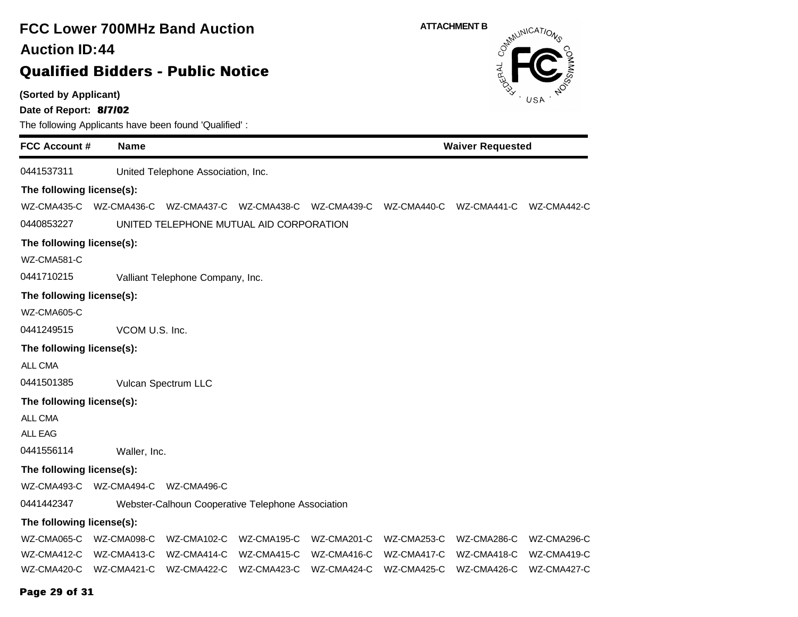| <b>FCC Lower 700MHz Band Auction</b>                                                                     |                |                                                   |                         | <b>ATTACHMENT B</b><br>OSMUNICATIONS |             |             |             |  |
|----------------------------------------------------------------------------------------------------------|----------------|---------------------------------------------------|-------------------------|--------------------------------------|-------------|-------------|-------------|--|
| <b>Auction ID:44</b>                                                                                     |                |                                                   |                         |                                      |             |             |             |  |
|                                                                                                          |                | <b>Qualified Bidders - Public Notice</b>          |                         |                                      |             |             |             |  |
| (Sorted by Applicant)<br>Date of Report: 8/7/02<br>The following Applicants have been found 'Qualified': |                |                                                   |                         |                                      | USA         |             |             |  |
| <b>FCC Account #</b><br><b>Name</b>                                                                      |                |                                                   | <b>Waiver Requested</b> |                                      |             |             |             |  |
| 0441537311                                                                                               |                | United Telephone Association, Inc.                |                         |                                      |             |             |             |  |
| The following license(s):                                                                                |                |                                                   |                         |                                      |             |             |             |  |
| WZ-CMA435-C                                                                                              | WZ-CMA436-C    |                                                   | WZ-CMA437-C WZ-CMA438-C | WZ-CMA439-C WZ-CMA440-C              |             | WZ-CMA441-C | WZ-CMA442-C |  |
| 0440853227                                                                                               |                | UNITED TELEPHONE MUTUAL AID CORPORATION           |                         |                                      |             |             |             |  |
| The following license(s):                                                                                |                |                                                   |                         |                                      |             |             |             |  |
| WZ-CMA581-C                                                                                              |                |                                                   |                         |                                      |             |             |             |  |
| 0441710215                                                                                               |                | Valliant Telephone Company, Inc.                  |                         |                                      |             |             |             |  |
| The following license(s):                                                                                |                |                                                   |                         |                                      |             |             |             |  |
| WZ-CMA605-C                                                                                              |                |                                                   |                         |                                      |             |             |             |  |
| 0441249515                                                                                               | VCOM U.S. Inc. |                                                   |                         |                                      |             |             |             |  |
| The following license(s):                                                                                |                |                                                   |                         |                                      |             |             |             |  |
| ALL CMA                                                                                                  |                |                                                   |                         |                                      |             |             |             |  |
| 0441501385                                                                                               |                | Vulcan Spectrum LLC                               |                         |                                      |             |             |             |  |
| The following license(s):                                                                                |                |                                                   |                         |                                      |             |             |             |  |
| <b>ALL CMA</b>                                                                                           |                |                                                   |                         |                                      |             |             |             |  |
| <b>ALL EAG</b>                                                                                           |                |                                                   |                         |                                      |             |             |             |  |
| 0441556114                                                                                               | Waller, Inc.   |                                                   |                         |                                      |             |             |             |  |
| The following license(s):                                                                                |                |                                                   |                         |                                      |             |             |             |  |
| WZ-CMA493-C                                                                                              | WZ-CMA494-C    | WZ-CMA496-C                                       |                         |                                      |             |             |             |  |
| 0441442347                                                                                               |                | Webster-Calhoun Cooperative Telephone Association |                         |                                      |             |             |             |  |
| The following license(s):                                                                                |                |                                                   |                         |                                      |             |             |             |  |
| WZ-CMA065-C                                                                                              | WZ-CMA098-C    | WZ-CMA102-C                                       | WZ-CMA195-C             | WZ-CMA201-C                          | WZ-CMA253-C | WZ-CMA286-C | WZ-CMA296-C |  |
| WZ-CMA412-C                                                                                              | WZ-CMA413-C    | WZ-CMA414-C                                       | WZ-CMA415-C             | WZ-CMA416-C                          | WZ-CMA417-C | WZ-CMA418-C | WZ-CMA419-C |  |
| WZ-CMA420-C                                                                                              | WZ-CMA421-C    | WZ-CMA422-C                                       | WZ-CMA423-C             | WZ-CMA424-C                          | WZ-CMA425-C | WZ-CMA426-C | WZ-CMA427-C |  |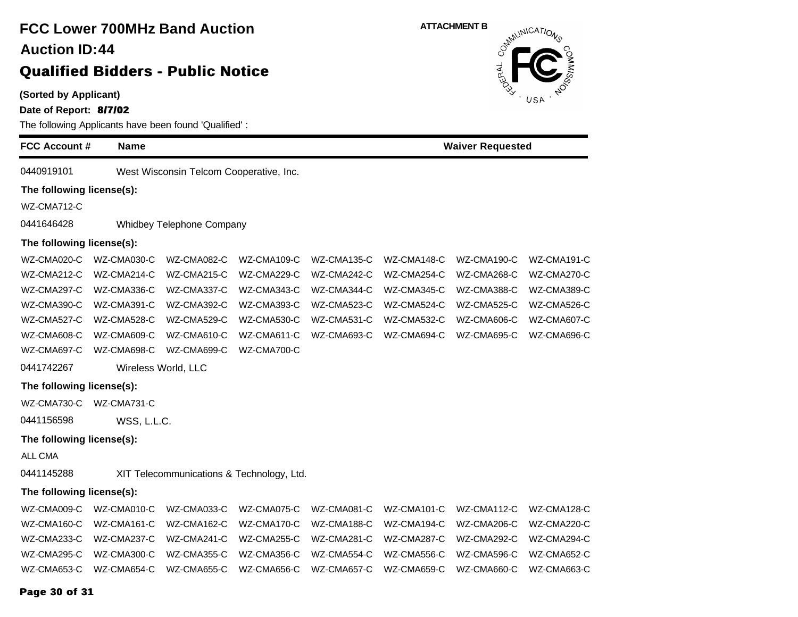**(Sorted by Applicant)**

**Date of Report: 8/7/02**

| The following Applicants have been found 'Qualified': |             |                                           |             |             |             |                         |             |  |  |
|-------------------------------------------------------|-------------|-------------------------------------------|-------------|-------------|-------------|-------------------------|-------------|--|--|
| <b>FCC Account #</b>                                  | <b>Name</b> |                                           |             |             |             | <b>Waiver Requested</b> |             |  |  |
| 0440919101                                            |             | West Wisconsin Telcom Cooperative, Inc.   |             |             |             |                         |             |  |  |
| The following license(s):                             |             |                                           |             |             |             |                         |             |  |  |
| WZ-CMA712-C                                           |             |                                           |             |             |             |                         |             |  |  |
| 0441646428                                            |             | Whidbey Telephone Company                 |             |             |             |                         |             |  |  |
| The following license(s):                             |             |                                           |             |             |             |                         |             |  |  |
| WZ-CMA020-C                                           | WZ-CMA030-C | WZ-CMA082-C                               | WZ-CMA109-C | WZ-CMA135-C | WZ-CMA148-C | WZ-CMA190-C             | WZ-CMA191-C |  |  |
| WZ-CMA212-C                                           | WZ-CMA214-C | WZ-CMA215-C                               | WZ-CMA229-C | WZ-CMA242-C | WZ-CMA254-C | WZ-CMA268-C             | WZ-CMA270-C |  |  |
| WZ-CMA297-C                                           | WZ-CMA336-C | WZ-CMA337-C                               | WZ-CMA343-C | WZ-CMA344-C | WZ-CMA345-C | WZ-CMA388-C             | WZ-CMA389-C |  |  |
| WZ-CMA390-C                                           | WZ-CMA391-C | WZ-CMA392-C                               | WZ-CMA393-C | WZ-CMA523-C | WZ-CMA524-C | WZ-CMA525-C             | WZ-CMA526-C |  |  |
| WZ-CMA527-C                                           | WZ-CMA528-C | WZ-CMA529-C                               | WZ-CMA530-C | WZ-CMA531-C | WZ-CMA532-C | WZ-CMA606-C             | WZ-CMA607-C |  |  |
| WZ-CMA608-C                                           | WZ-CMA609-C | WZ-CMA610-C                               | WZ-CMA611-C | WZ-CMA693-C | WZ-CMA694-C | WZ-CMA695-C             | WZ-CMA696-C |  |  |
| WZ-CMA697-C                                           | WZ-CMA698-C | WZ-CMA699-C                               | WZ-CMA700-C |             |             |                         |             |  |  |
| 0441742267                                            |             | Wireless World, LLC                       |             |             |             |                         |             |  |  |
| The following license(s):                             |             |                                           |             |             |             |                         |             |  |  |
| WZ-CMA730-C                                           | WZ-CMA731-C |                                           |             |             |             |                         |             |  |  |
| 0441156598                                            | WSS, L.L.C. |                                           |             |             |             |                         |             |  |  |
| The following license(s):                             |             |                                           |             |             |             |                         |             |  |  |
| ALL CMA                                               |             |                                           |             |             |             |                         |             |  |  |
| 0441145288                                            |             | XIT Telecommunications & Technology, Ltd. |             |             |             |                         |             |  |  |
| The following license(s):                             |             |                                           |             |             |             |                         |             |  |  |
| WZ-CMA009-C                                           | WZ-CMA010-C | WZ-CMA033-C                               | WZ-CMA075-C | WZ-CMA081-C | WZ-CMA101-C | WZ-CMA112-C             | WZ-CMA128-C |  |  |
| WZ-CMA160-C                                           | WZ-CMA161-C | WZ-CMA162-C                               | WZ-CMA170-C | WZ-CMA188-C | WZ-CMA194-C | WZ-CMA206-C             | WZ-CMA220-C |  |  |
| WZ-CMA233-C                                           | WZ-CMA237-C | WZ-CMA241-C                               | WZ-CMA255-C | WZ-CMA281-C | WZ-CMA287-C | WZ-CMA292-C             | WZ-CMA294-C |  |  |
| WZ-CMA295-C                                           | WZ-CMA300-C | WZ-CMA355-C                               | WZ-CMA356-C | WZ-CMA554-C | WZ-CMA556-C | WZ-CMA596-C             | WZ-CMA652-C |  |  |
| WZ-CMA653-C                                           | WZ-CMA654-C | WZ-CMA655-C                               | WZ-CMA656-C | WZ-CMA657-C | WZ-CMA659-C | WZ-CMA660-C             | WZ-CMA663-C |  |  |
| Page 30 of 31                                         |             |                                           |             |             |             |                         |             |  |  |